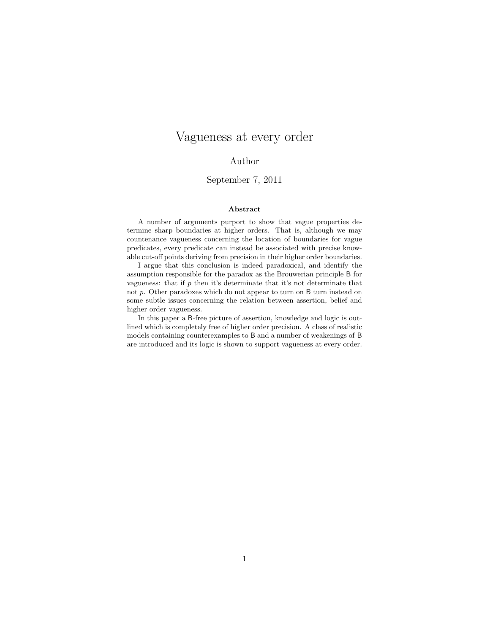# Vagueness at every order

## Author

## September 7, 2011

#### Abstract

A number of arguments purport to show that vague properties determine sharp boundaries at higher orders. That is, although we may countenance vagueness concerning the location of boundaries for vague predicates, every predicate can instead be associated with precise knowable cut-off points deriving from precision in their higher order boundaries.

I argue that this conclusion is indeed paradoxical, and identify the assumption responsible for the paradox as the Brouwerian principle B for vagueness: that if  $p$  then it's determinate that it's not determinate that not p. Other paradoxes which do not appear to turn on B turn instead on some subtle issues concerning the relation between assertion, belief and higher order vagueness.

In this paper a B-free picture of assertion, knowledge and logic is outlined which is completely free of higher order precision. A class of realistic models containing counterexamples to B and a number of weakenings of B are introduced and its logic is shown to support vagueness at every order.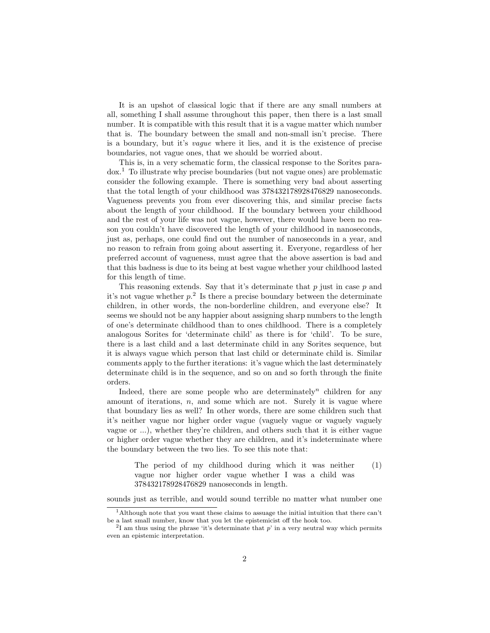It is an upshot of classical logic that if there are any small numbers at all, something I shall assume throughout this paper, then there is a last small number. It is compatible with this result that it is a vague matter which number that is. The boundary between the small and non-small isn't precise. There is a boundary, but it's vague where it lies, and it is the existence of precise boundaries, not vague ones, that we should be worried about.

This is, in a very schematic form, the classical response to the Sorites paradox.<sup>1</sup> To illustrate why precise boundaries (but not vague ones) are problematic consider the following example. There is something very bad about asserting that the total length of your childhood was 378432178928476829 nanoseconds. Vagueness prevents you from ever discovering this, and similar precise facts about the length of your childhood. If the boundary between your childhood and the rest of your life was not vague, however, there would have been no reason you couldn't have discovered the length of your childhood in nanoseconds, just as, perhaps, one could find out the number of nanoseconds in a year, and no reason to refrain from going about asserting it. Everyone, regardless of her preferred account of vagueness, must agree that the above assertion is bad and that this badness is due to its being at best vague whether your childhood lasted for this length of time.

This reasoning extends. Say that it's determinate that  $p$  just in case  $p$  and it's not vague whether  $p<sup>2</sup>$ . Is there a precise boundary between the determinate children, in other words, the non-borderline children, and everyone else? It seems we should not be any happier about assigning sharp numbers to the length of one's determinate childhood than to ones childhood. There is a completely analogous Sorites for 'determinate child' as there is for 'child'. To be sure, there is a last child and a last determinate child in any Sorites sequence, but it is always vague which person that last child or determinate child is. Similar comments apply to the further iterations: it's vague which the last determinately determinate child is in the sequence, and so on and so forth through the finite orders.

Indeed, there are some people who are determinately<sup>n</sup> children for any amount of iterations,  $n$ , and some which are not. Surely it is vague where that boundary lies as well? In other words, there are some children such that it's neither vague nor higher order vague (vaguely vague or vaguely vaguely vague or ...), whether they're children, and others such that it is either vague or higher order vague whether they are children, and it's indeterminate where the boundary between the two lies. To see this note that:

The period of my childhood during which it was neither vague nor higher order vague whether I was a child was 378432178928476829 nanoseconds in length. (1)

sounds just as terrible, and would sound terrible no matter what number one

<sup>1</sup>Although note that you want these claims to assuage the initial intuition that there can't be a last small number, know that you let the epistemicist off the hook too.

<sup>&</sup>lt;sup>2</sup>I am thus using the phrase 'it's determinate that  $p$ ' in a very neutral way which permits even an epistemic interpretation.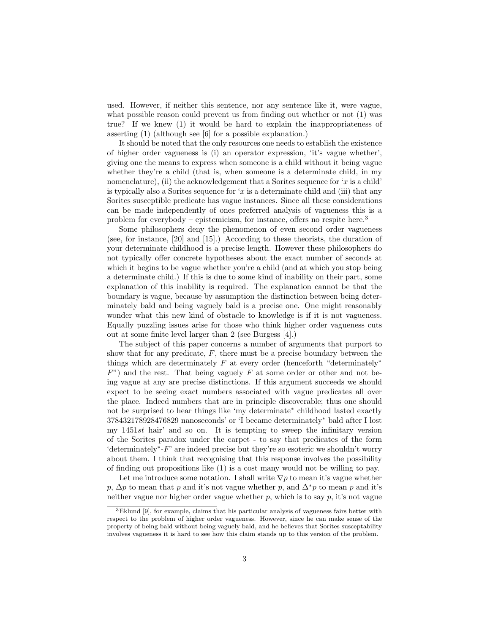used. However, if neither this sentence, nor any sentence like it, were vague, what possible reason could prevent us from finding out whether or not  $(1)$  was true? If we knew (1) it would be hard to explain the inappropriateness of asserting (1) (although see [6] for a possible explanation.)

It should be noted that the only resources one needs to establish the existence of higher order vagueness is (i) an operator expression, 'it's vague whether', giving one the means to express when someone is a child without it being vague whether they're a child (that is, when someone is a determinate child, in my nomenclature), (ii) the acknowledgement that a Sorites sequence for 'x is a child' is typically also a Sorites sequence for 'x is a determinate child and (iii) that any Sorites susceptible predicate has vague instances. Since all these considerations can be made independently of ones preferred analysis of vagueness this is a problem for everybody – epistemicism, for instance, offers no respite here.<sup>3</sup>

Some philosophers deny the phenomenon of even second order vagueness (see, for instance, [20] and [15].) According to these theorists, the duration of your determinate childhood is a precise length. However these philosophers do not typically offer concrete hypotheses about the exact number of seconds at which it begins to be vague whether you're a child (and at which you stop being a determinate child.) If this is due to some kind of inability on their part, some explanation of this inability is required. The explanation cannot be that the boundary is vague, because by assumption the distinction between being determinately bald and being vaguely bald is a precise one. One might reasonably wonder what this new kind of obstacle to knowledge is if it is not vagueness. Equally puzzling issues arise for those who think higher order vagueness cuts out at some finite level larger than 2 (see Burgess [4].)

The subject of this paper concerns a number of arguments that purport to show that for any predicate,  $F$ , there must be a precise boundary between the things which are determinately  $F$  at every order (henceforth "determinately\*  $F$ ) and the rest. That being vaguely F at some order or other and not being vague at any are precise distinctions. If this argument succeeds we should expect to be seeing exact numbers associated with vague predicates all over the place. Indeed numbers that are in principle discoverable; thus one should not be surprised to hear things like 'my determinate<sup>∗</sup> childhood lasted exactly 378432178928476829 nanoseconds' or 'I became determinately<sup>∗</sup> bald after I lost my 1451st hair' and so on. It is tempting to sweep the infinitary version of the Sorites paradox under the carpet - to say that predicates of the form 'determinately<sup>∗</sup> -F' are indeed precise but they're so esoteric we shouldn't worry about them. I think that recognising that this response involves the possibility of finding out propositions like (1) is a cost many would not be willing to pay.

Let me introduce some notation. I shall write  $\nabla p$  to mean it's vague whether p,  $\Delta p$  to mean that p and it's not vague whether p, and  $\Delta^* p$  to mean p and it's neither vague nor higher order vague whether  $p$ , which is to say  $p$ , it's not vague

<sup>3</sup>Eklund [9], for example, claims that his particular analysis of vagueness fairs better with respect to the problem of higher order vagueness. However, since he can make sense of the property of being bald without being vaguely bald, and he believes that Sorites susceptability involves vagueness it is hard to see how this claim stands up to this version of the problem.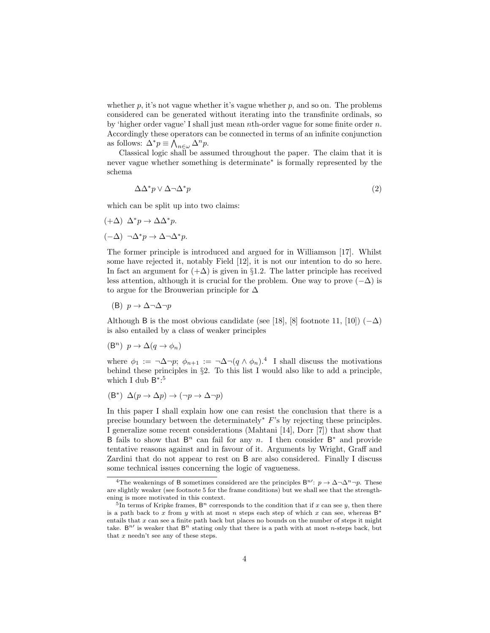whether  $p$ , it's not vague whether it's vague whether  $p$ , and so on. The problems considered can be generated without iterating into the transfinite ordinals, so by 'higher order vague' I shall just mean nth-order vague for some finite order  $n$ . Accordingly these operators can be connected in terms of an infinite conjunction as follows:  $\Delta^* p \equiv \bigwedge_{n \in \omega} \Delta^n p$ .

Classical logic shall be assumed throughout the paper. The claim that it is never vague whether something is determinate<sup>∗</sup> is formally represented by the schema

$$
\Delta \Delta^* p \vee \Delta \neg \Delta^* p \tag{2}
$$

which can be split up into two claims:

 $(+Δ) Δ<sup>*</sup>p → ΔΔ<sup>*</sup>p.$ (−∆) ¬∆<sup>∗</sup>p → ∆¬∆<sup>∗</sup>p.

The former principle is introduced and argued for in Williamson [17]. Whilst some have rejected it, notably Field [12], it is not our intention to do so here. In fact an argument for  $(+\Delta)$  is given in §1.2. The latter principle has received less attention, although it is crucial for the problem. One way to prove  $(-\Delta)$  is to argue for the Brouwerian principle for  $\Delta$ 

(B) p → ∆¬∆¬p

Although B is the most obvious candidate (see [18], [8] footnote 11, [10])  $(-\Delta)$ is also entailed by a class of weaker principles

$$
(\mathsf{B}^n) \ \ p \to \Delta(q \to \phi_n)
$$

where  $\phi_1 := \neg \Delta \neg p$ ;  $\phi_{n+1} := \neg \Delta \neg (q \wedge \phi_n)^{4}$  I shall discuss the motivations behind these principles in §2. To this list I would also like to add a principle, which I dub  $B^*$ :<sup>5</sup>

$$
(\mathsf{B}^*) \ \Delta(p \to \Delta p) \to (\neg p \to \Delta \neg p)
$$

In this paper I shall explain how one can resist the conclusion that there is a precise boundary between the determinately<sup>∗</sup> F's by rejecting these principles. I generalize some recent considerations (Mahtani [14], Dorr [7]) that show that B fails to show that  $B<sup>n</sup>$  can fail for any n. I then consider  $B^*$  and provide tentative reasons against and in favour of it. Arguments by Wright, Graff and Zardini that do not appear to rest on B are also considered. Finally I discuss some technical issues concerning the logic of vagueness.

<sup>&</sup>lt;sup>4</sup>The weakenings of B sometimes considered are the principles  $B^{n'}: p \to \Delta \neg \Delta^n \neg p$ . These are slightly weaker (see footnote 5 for the frame conditions) but we shall see that the strengthening is more motivated in this context.

<sup>&</sup>lt;sup>5</sup>In terms of Kripke frames,  $B<sup>n</sup>$  corresponds to the condition that if x can see y, then there is a path back to x from y with at most n steps each step of which x can see, whereas  $B^*$ entails that  $x$  can see a finite path back but places no bounds on the number of steps it might take. B<sup>n'</sup> is weaker that B<sup>n</sup> stating only that there is a path with at most n-steps back, but that  $x$  needn't see any of these steps.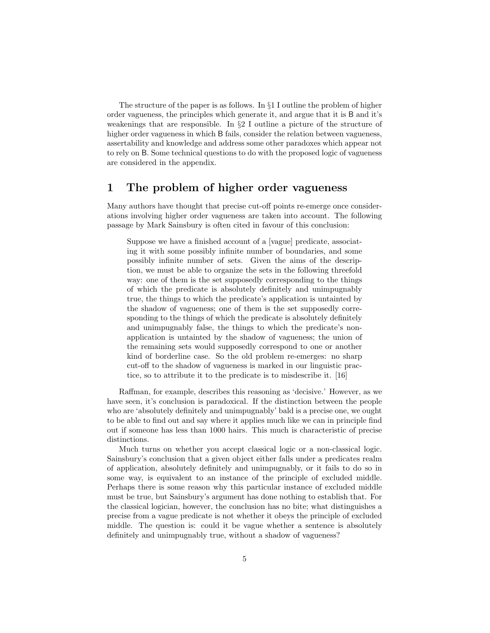The structure of the paper is as follows. In §1 I outline the problem of higher order vagueness, the principles which generate it, and argue that it is B and it's weakenings that are responsible. In  $\S2$  I outline a picture of the structure of higher order vagueness in which B fails, consider the relation between vagueness, assertability and knowledge and address some other paradoxes which appear not to rely on B. Some technical questions to do with the proposed logic of vagueness are considered in the appendix.

## 1 The problem of higher order vagueness

Many authors have thought that precise cut-off points re-emerge once considerations involving higher order vagueness are taken into account. The following passage by Mark Sainsbury is often cited in favour of this conclusion:

Suppose we have a finished account of a [vague] predicate, associating it with some possibly infinite number of boundaries, and some possibly infinite number of sets. Given the aims of the description, we must be able to organize the sets in the following threefold way: one of them is the set supposedly corresponding to the things of which the predicate is absolutely definitely and unimpugnably true, the things to which the predicate's application is untainted by the shadow of vagueness; one of them is the set supposedly corresponding to the things of which the predicate is absolutely definitely and unimpugnably false, the things to which the predicate's nonapplication is untainted by the shadow of vagueness; the union of the remaining sets would supposedly correspond to one or another kind of borderline case. So the old problem re-emerges: no sharp cut-off to the shadow of vagueness is marked in our linguistic practice, so to attribute it to the predicate is to misdescribe it. [16]

Raffman, for example, describes this reasoning as 'decisive.' However, as we have seen, it's conclusion is paradoxical. If the distinction between the people who are 'absolutely definitely and unimpugnably' bald is a precise one, we ought to be able to find out and say where it applies much like we can in principle find out if someone has less than 1000 hairs. This much is characteristic of precise distinctions.

Much turns on whether you accept classical logic or a non-classical logic. Sainsbury's conclusion that a given object either falls under a predicates realm of application, absolutely definitely and unimpugnably, or it fails to do so in some way, is equivalent to an instance of the principle of excluded middle. Perhaps there is some reason why this particular instance of excluded middle must be true, but Sainsbury's argument has done nothing to establish that. For the classical logician, however, the conclusion has no bite; what distinguishes a precise from a vague predicate is not whether it obeys the principle of excluded middle. The question is: could it be vague whether a sentence is absolutely definitely and unimpugnably true, without a shadow of vagueness?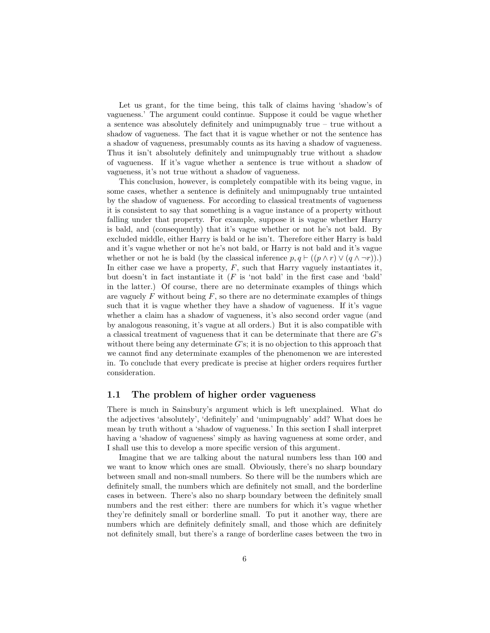Let us grant, for the time being, this talk of claims having 'shadow's of vagueness.' The argument could continue. Suppose it could be vague whether a sentence was absolutely definitely and unimpugnably true – true without a shadow of vagueness. The fact that it is vague whether or not the sentence has a shadow of vagueness, presumably counts as its having a shadow of vagueness. Thus it isn't absolutely definitely and unimpugnably true without a shadow of vagueness. If it's vague whether a sentence is true without a shadow of vagueness, it's not true without a shadow of vagueness.

This conclusion, however, is completely compatible with its being vague, in some cases, whether a sentence is definitely and unimpugnably true untainted by the shadow of vagueness. For according to classical treatments of vagueness it is consistent to say that something is a vague instance of a property without falling under that property. For example, suppose it is vague whether Harry is bald, and (consequently) that it's vague whether or not he's not bald. By excluded middle, either Harry is bald or he isn't. Therefore either Harry is bald and it's vague whether or not he's not bald, or Harry is not bald and it's vague whether or not he is bald (by the classical inference  $p, q \vdash ((p \land r) \lor (q \land \neg r))$ .) In either case we have a property,  $F$ , such that Harry vaguely instantiates it, but doesn't in fact instantiate it  $(F \text{ is 'not } \text{bald'} )$  in the first case and 'bald' in the latter.) Of course, there are no determinate examples of things which are vaguely  $F$  without being  $F$ , so there are no determinate examples of things such that it is vague whether they have a shadow of vagueness. If it's vague whether a claim has a shadow of vagueness, it's also second order vague (and by analogous reasoning, it's vague at all orders.) But it is also compatible with a classical treatment of vagueness that it can be determinate that there are G's without there being any determinate G's; it is no objection to this approach that we cannot find any determinate examples of the phenomenon we are interested in. To conclude that every predicate is precise at higher orders requires further consideration.

### 1.1 The problem of higher order vagueness

There is much in Sainsbury's argument which is left unexplained. What do the adjectives 'absolutely', 'definitely' and 'unimpugnably' add? What does he mean by truth without a 'shadow of vagueness.' In this section I shall interpret having a 'shadow of vagueness' simply as having vagueness at some order, and I shall use this to develop a more specific version of this argument.

Imagine that we are talking about the natural numbers less than 100 and we want to know which ones are small. Obviously, there's no sharp boundary between small and non-small numbers. So there will be the numbers which are definitely small, the numbers which are definitely not small, and the borderline cases in between. There's also no sharp boundary between the definitely small numbers and the rest either: there are numbers for which it's vague whether they're definitely small or borderline small. To put it another way, there are numbers which are definitely definitely small, and those which are definitely not definitely small, but there's a range of borderline cases between the two in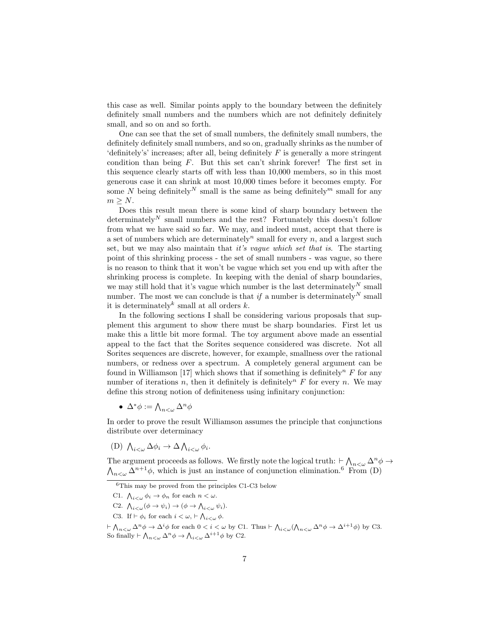this case as well. Similar points apply to the boundary between the definitely definitely small numbers and the numbers which are not definitely definitely small, and so on and so forth.

One can see that the set of small numbers, the definitely small numbers, the definitely definitely small numbers, and so on, gradually shrinks as the number of 'definitely's' increases; after all, being definitely  $F$  is generally a more stringent condition than being  $F$ . But this set can't shrink forever! The first set in this sequence clearly starts off with less than 10,000 members, so in this most generous case it can shrink at most 10,000 times before it becomes empty. For some N being definitely<sup>N</sup> small is the same as being definitely<sup>m</sup> small for any  $m > N$ .

Does this result mean there is some kind of sharp boundary between the determinately<sup>N</sup> small numbers and the rest? Fortunately this doesn't follow from what we have said so far. We may, and indeed must, accept that there is a set of numbers which are determinately<sup>n</sup> small for every n, and a largest such set, but we may also maintain that it's vaque which set that is. The starting point of this shrinking process - the set of small numbers - was vague, so there is no reason to think that it won't be vague which set you end up with after the shrinking process is complete. In keeping with the denial of sharp boundaries, we may still hold that it's vague which number is the last determinately<sup>N</sup> small number. The most we can conclude is that  $if$  a number is determinately  $\real^N$  small it is determinately<sup>k</sup> small at all orders  $k$ .

In the following sections I shall be considering various proposals that supplement this argument to show there must be sharp boundaries. First let us make this a little bit more formal. The toy argument above made an essential appeal to the fact that the Sorites sequence considered was discrete. Not all Sorites sequences are discrete, however, for example, smallness over the rational numbers, or redness over a spectrum. A completely general argument can be found in Williamson [17] which shows that if something is definitely<sup>n</sup> F for any number of iterations n, then it definitely is definitely<sup>n</sup> F for every n. We may define this strong notion of definiteness using infinitary conjunction:

•  $\Delta^* \phi := \bigwedge_{n < \omega} \Delta^n \phi$ 

In order to prove the result Williamson assumes the principle that conjunctions distribute over determinacy

(D)  $\bigwedge_{i<\omega}\Delta\phi_i\to\Delta\bigwedge_{i<\omega}\phi_i.$ 

The argument proceeds as follows. We firstly note the logical truth:  $\vdash_{\alpha}\bigwedge_{n<\omega}\Delta^n$  $\wedge$  $\phi \rightarrow$  $n \in \mathbb{Q}$   $\Delta^{n+1}\phi$ , which is just an instance of conjunction elimination.<sup>6</sup> From (D)

- C2.  $\bigwedge_{i<\omega}(\phi\rightarrow\psi_i)\rightarrow(\phi\rightarrow\bigwedge_{i<\omega}\psi_i).$
- C3. If  $\vdash \phi_i$  for each  $i < \omega, \vdash \bigwedge_{i < \omega} \phi$ .

 $6$ This may be proved from the principles C1-C3 below

C1.  $\bigwedge_{i<\omega}\phi_i\to\phi_n$  for each  $n<\omega$ .

 $\vdash \bigwedge_{n<\omega} \Delta^n \phi \to \Delta^i \phi$  for each  $0 < i < \omega$  by C1. Thus  $\vdash \bigwedge_{i<\omega} (\bigwedge_{n<\omega} \Delta^n \phi \to \Delta^{i+1} \phi)$  by C3. So finally  $\vdash \bigwedge_{n<\omega} \Delta^n \phi \to \bigwedge_{i<\omega} \Delta^{i+1} \phi$  by C2.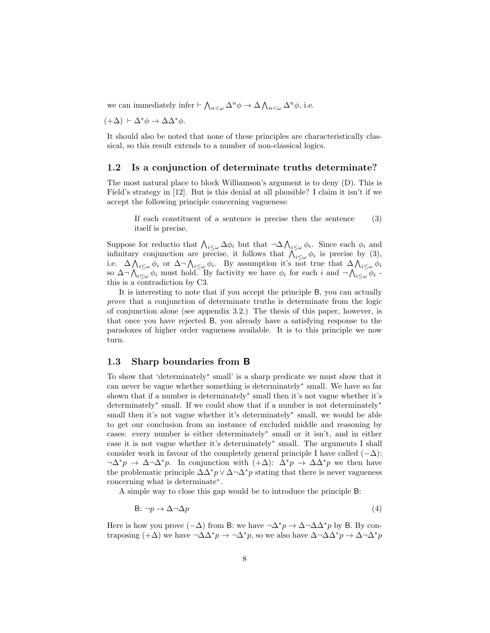we can immediately infer  $\vdash \bigwedge_{n<\omega} \Delta^n \phi \to \Delta \bigwedge_{n<\omega} \Delta^n \phi$ , i.e.

 $(+\Delta)$   $\vdash \Delta^* \phi \rightarrow \Delta \Delta^* \phi$ .

It should also be noted that none of these principles are characteristically classical, so this result extends to a number of non-classical logics.

#### 1.2 Is a conjunction of determinate truths determinate?

The most natural place to block Williamson's argument is to deny (D). This is Field's strategy in [12]. But is this denial at all plausible? I claim it isn't if we accept the following principle concerning vagueness:

If each constituent of a sentence is precise then the sentence itself is precise. (3)

Suppose for reductio that  $\bigwedge_{i\leq\omega}\Delta\phi_i$  but that  $\neg\Delta\bigwedge_{i\leq\omega}\phi_i$ . Since each  $\phi_i$  and infinitary conjunction are precise, it follows that  $\bigwedge_{i\leq\omega}^{\infty}\phi_i$  is precise by (3), i.e.  $\Delta \bigwedge_{i \leq \omega} \phi_i$  or  $\Delta \neg \bigwedge_{i \leq \omega} \phi_i$ . By assumption it's not true that  $\Delta \bigwedge_{i \leq \omega} \phi_i$ so  $\Delta \neg \bigwedge_{i\leq \omega} \phi_i$  must hold. By factivity we have  $\phi_i$  for each i and  $\neg \bigwedge_{i\leq \omega} \phi_i$ . this is a contradiction by C3.

It is interesting to note that if you accept the principle B, you can actually prove that a conjunction of determinate truths is determinate from the logic of conjunction alone (see appendix 3.2.) The thesis of this paper, however, is that once you have rejected B, you already have a satisfying response to the paradoxes of higher order vagueness available. It is to this principle we now turn.

### 1.3 Sharp boundaries from B

To show that 'determinately<sup>∗</sup> small' is a sharp predicate we must show that it can never be vague whether something is determinately<sup>∗</sup> small. We have so far shown that if a number is determinately<sup>∗</sup> small then it's not vague whether it's determinately<sup>∗</sup> small. If we could show that if a number is not determinately<sup>∗</sup> small then it's not vague whether it's determinately<sup>\*</sup> small, we would be able to get our conclusion from an instance of excluded middle and reasoning by cases: every number is either determinately<sup>∗</sup> small or it isn't, and in either case it is not vague whether it's determinately<sup>∗</sup> small. The arguments I shall consider work in favour of the completely general principle I have called  $(-\Delta)$ :  $\neg \Delta^* p \to \Delta \neg \Delta^* p$ . In conjunction with  $(+\Delta): \Delta^* p \to \Delta \Delta^* p$  we then have the problematic principle  $\Delta\Delta^* p \vee \Delta \neg \Delta^* p$  stating that there is never vagueness concerning what is determinate<sup>∗</sup> .

A simple way to close this gap would be to introduce the principle B:

$$
B: \neg p \to \Delta \neg \Delta p \tag{4}
$$

Here is how you prove  $(-\Delta)$  from B: we have  $\neg \Delta^* p \rightarrow \Delta \neg \Delta \Delta^* p$  by B. By contraposing  $(+\Delta)$  we have  $\neg \Delta \Delta^* p \rightarrow \neg \Delta^* p$ , so we also have  $\Delta \neg \Delta \Delta^* p \rightarrow \Delta \neg \Delta^* p$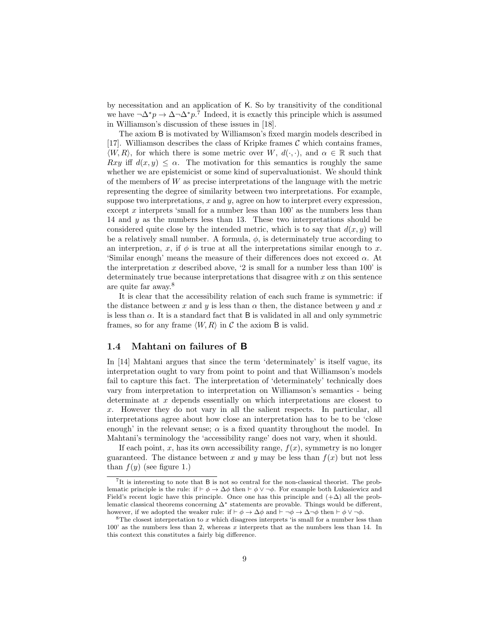by necessitation and an application of K. So by transitivity of the conditional we have  $\neg \Delta^* p \to \Delta \neg \Delta^* p$ .<sup>7</sup> Indeed, it is exactly this principle which is assumed in Williamson's discussion of these issues in [18].

The axiom B is motivated by Williamson's fixed margin models described in [17]. Williamson describes the class of Kripke frames  $\mathcal C$  which contains frames,  $\langle W, R \rangle$ , for which there is some metric over W,  $d(\cdot, \cdot)$ , and  $\alpha \in \mathbb{R}$  such that Rxy iff  $d(x, y) \leq \alpha$ . The motivation for this semantics is roughly the same whether we are epistemicist or some kind of supervaluationist. We should think of the members of  $W$  as precise interpretations of the language with the metric representing the degree of similarity between two interpretations. For example, suppose two interpretations,  $x$  and  $y$ , agree on how to interpret every expression, except  $x$  interprets 'small for a number less than  $100'$  as the numbers less than 14 and  $y$  as the numbers less than 13. These two interpretations should be considered quite close by the intended metric, which is to say that  $d(x, y)$  will be a relatively small number. A formula,  $\phi$ , is determinately true according to an interpretion, x, if  $\phi$  is true at all the interpretations similar enough to x. 'Similar enough' means the measure of their differences does not exceed  $\alpha$ . At the interpretation x described above, '2 is small for a number less than  $100'$  is determinately true because interpretations that disagree with  $x$  on this sentence are quite far away.<sup>8</sup>

It is clear that the accessibility relation of each such frame is symmetric: if the distance between x and y is less than  $\alpha$  then, the distance between y and x is less than  $\alpha$ . It is a standard fact that B is validated in all and only symmetric frames, so for any frame  $\langle W, R \rangle$  in C the axiom B is valid.

### 1.4 Mahtani on failures of B

In [14] Mahtani argues that since the term 'determinately' is itself vague, its interpretation ought to vary from point to point and that Williamson's models fail to capture this fact. The interpretation of 'determinately' technically does vary from interpretation to interpretation on Williamson's semantics - being determinate at x depends essentially on which interpretations are closest to x. However they do not vary in all the salient respects. In particular, all interpretations agree about how close an interpretation has to be to be 'close enough' in the relevant sense;  $\alpha$  is a fixed quantity throughout the model. In Mahtani's terminology the 'accessibility range' does not vary, when it should.

If each point, x, has its own accessibility range,  $f(x)$ , symmetry is no longer guaranteed. The distance between x and y may be less than  $f(x)$  but not less than  $f(y)$  (see figure 1.)

<sup>7</sup> It is interesting to note that B is not so central for the non-classical theorist. The problematic principle is the rule: if  $\vdash \phi \rightarrow \Delta \phi$  then  $\vdash \phi \lor \neg \phi$ . For example both Lukasiewicz and Field's recent logic have this principle. Once one has this principle and  $(+\Delta)$  all the problematic classical theorems concerning  $\Delta^*$  statements are provable. Things would be different, however, if we adopted the weaker rule: if  $\vdash \phi \rightarrow \Delta \phi$  and  $\vdash \neg \phi \rightarrow \Delta \neg \phi$  then  $\vdash \phi \vee \neg \phi$ .

 $8$ The closest interpretation to x which disagrees interprets 'is small for a number less than  $100'$  as the numbers less than 2, whereas x interprets that as the numbers less than 14. In this context this constitutes a fairly big difference.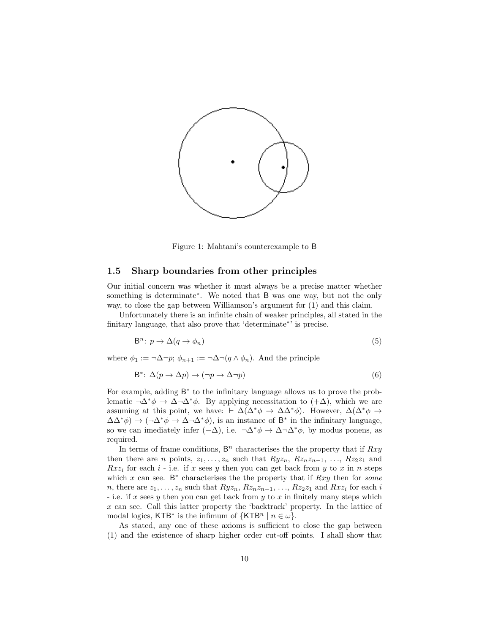

Figure 1: Mahtani's counterexample to B

### 1.5 Sharp boundaries from other principles

Our initial concern was whether it must always be a precise matter whether something is determinate<sup>\*</sup>. We noted that B was one way, but not the only way, to close the gap between Williamson's argument for (1) and this claim.

Unfortunately there is an infinite chain of weaker principles, all stated in the finitary language, that also prove that 'determinate<sup>∗</sup> ' is precise.

$$
\mathsf{B}^n\colon p \to \Delta(q \to \phi_n) \tag{5}
$$

where  $\phi_1 := \neg \Delta \neg p$ ;  $\phi_{n+1} := \neg \Delta \neg (q \wedge \phi_n)$ . And the principle

$$
B^* \colon \Delta(p \to \Delta p) \to (\neg p \to \Delta \neg p) \tag{6}
$$

For example, adding B ∗ to the infinitary language allows us to prove the problematic  $\neg \Delta^* \phi \rightarrow \Delta \neg \Delta^* \phi$ . By applying necessitation to  $( + \Delta)$ , which we are assuming at this point, we have:  $\vdash \Delta(\Delta^*\phi \rightarrow \Delta\Delta^*\phi)$ . However,  $\Delta(\Delta^*\phi \rightarrow$  $\Delta\Delta^*\phi$ ) →  $(\neg \Delta^*\phi \rightarrow \Delta \neg \Delta^*\phi)$ , is an instance of B<sup>\*</sup> in the infinitary language, so we can imediately infer  $(-\Delta)$ , i.e.  $\neg \Delta^* \phi \rightarrow \Delta \neg \Delta^* \phi$ , by modus ponens, as required.

In terms of frame conditions,  $B<sup>n</sup>$  characterises the the property that if  $Rxy$ then there are *n* points,  $z_1, \ldots, z_n$  such that  $Ryz_n, Rz_nz_{n-1}, \ldots, Rz_2z_1$  and  $Rxz_i$  for each i - i.e. if x sees y then you can get back from y to x in n steps which x can see.  $B^*$  characterises the the property that if  $Rxy$  then for some n, there are  $z_1, \ldots, z_n$  such that  $Ryz_n, Rz_nz_{n-1}, \ldots, Rz_2z_1$  and  $Rxz_i$  for each i - i.e. if x sees y then you can get back from y to x in finitely many steps which x can see. Call this latter property the 'backtrack' property. In the lattice of modal logics, KTB<sup>\*</sup> is the infimum of  $\{KTB^n \mid n \in \omega\}.$ 

As stated, any one of these axioms is sufficient to close the gap between (1) and the existence of sharp higher order cut-off points. I shall show that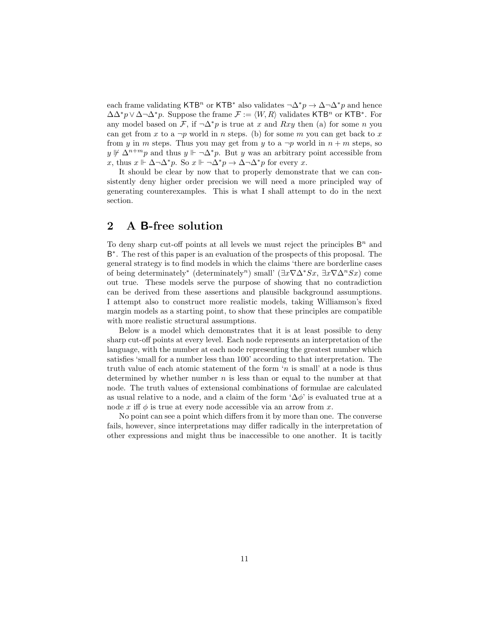each frame validating KTB<sup>n</sup> or KTB<sup>\*</sup> also validates  $\neg \Delta^* p \to \Delta \neg \Delta^* p$  and hence  $\Delta\Delta^* p \vee \Delta \neg \Delta^* p$ . Suppose the frame  $\mathcal{F} := \langle W, R \rangle$  validates KTB<sup>n</sup> or KTB<sup>∗</sup>. For any model based on F, if  $\neg \Delta^* p$  is true at x and Rxy then (a) for some n you can get from x to a  $\neg p$  world in n steps. (b) for some m you can get back to x from y in m steps. Thus you may get from y to a  $\neg p$  world in  $n + m$  steps, so y  $\forall y \not\vdash \Delta^{n+m} p$  and thus  $y \Vdash \neg \Delta^* p$ . But y was an arbitrary point accessible from x, thus  $x \Vdash \Delta \neg \Delta^* p$ . So  $x \Vdash \neg \Delta^* p \rightarrow \Delta \neg \Delta^* p$  for every x.

It should be clear by now that to properly demonstrate that we can consistently deny higher order precision we will need a more principled way of generating counterexamples. This is what I shall attempt to do in the next section.

## 2 A B-free solution

To deny sharp cut-off points at all levels we must reject the principles  $\mathsf{B}^n$  and B<sup>∗</sup>. The rest of this paper is an evaluation of the prospects of this proposal. The general strategy is to find models in which the claims 'there are borderline cases of being determinately<sup>\*</sup> (determinately<sup>n</sup>) small' ( $\exists x \nabla \Delta^* S x$ ,  $\exists x \nabla \Delta^n S x$ ) come out true. These models serve the purpose of showing that no contradiction can be derived from these assertions and plausible background assumptions. I attempt also to construct more realistic models, taking Williamson's fixed margin models as a starting point, to show that these principles are compatible with more realistic structural assumptions.

Below is a model which demonstrates that it is at least possible to deny sharp cut-off points at every level. Each node represents an interpretation of the language, with the number at each node representing the greatest number which satisfies 'small for a number less than 100' according to that interpretation. The truth value of each atomic statement of the form 'n is small' at a node is thus determined by whether number  $n$  is less than or equal to the number at that node. The truth values of extensional combinations of formulae are calculated as usual relative to a node, and a claim of the form ' $\Delta \phi$ ' is evaluated true at a node x iff  $\phi$  is true at every node accessible via an arrow from x.

No point can see a point which differs from it by more than one. The converse fails, however, since interpretations may differ radically in the interpretation of other expressions and might thus be inaccessible to one another. It is tacitly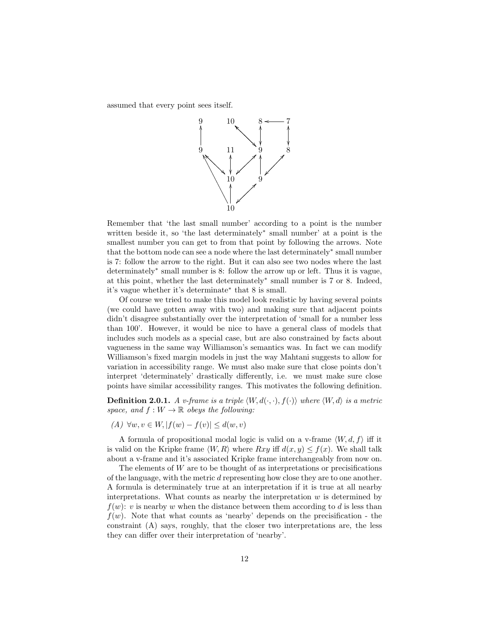assumed that every point sees itself.



Remember that 'the last small number' according to a point is the number written beside it, so 'the last determinately<sup>∗</sup> small number' at a point is the smallest number you can get to from that point by following the arrows. Note that the bottom node can see a node where the last determinately<sup>∗</sup> small number is 7: follow the arrow to the right. But it can also see two nodes where the last determinately<sup>∗</sup> small number is 8: follow the arrow up or left. Thus it is vague, at this point, whether the last determinately<sup>∗</sup> small number is 7 or 8. Indeed, it's vague whether it's determinate<sup>∗</sup> that 8 is small.

Of course we tried to make this model look realistic by having several points (we could have gotten away with two) and making sure that adjacent points didn't disagree substantially over the interpretation of 'small for a number less than 100'. However, it would be nice to have a general class of models that includes such models as a special case, but are also constrained by facts about vagueness in the same way Williamson's semantics was. In fact we can modify Williamson's fixed margin models in just the way Mahtani suggests to allow for variation in accessibility range. We must also make sure that close points don't interpret 'determinately' drastically differently, i.e. we must make sure close points have similar accessibility ranges. This motivates the following definition.

**Definition 2.0.1.** A v-frame is a triple  $\langle W, d(·, ·), f(·)\rangle$  where  $\langle W, d \rangle$  is a metric space, and  $f: W \to \mathbb{R}$  obeys the following:

(A) ∀w,  $v \in W$ ,  $|f(w) - f(v)| \leq d(w, v)$ 

A formula of propositional modal logic is valid on a v-frame  $\langle W, d, f \rangle$  iff it is valid on the Kripke frame  $\langle W, R \rangle$  where  $Rxy$  iff  $d(x, y) \le f(x)$ . We shall talk about a v-frame and it's associated Kripke frame interchangeably from now on.

The elements of  $W$  are to be thought of as interpretations or precisifications of the language, with the metric d representing how close they are to one another. A formula is determinately true at an interpretation if it is true at all nearby interpretations. What counts as nearby the interpretation  $w$  is determined by  $f(w)$ : v is nearby w when the distance between them according to d is less than  $f(w)$ . Note that what counts as 'nearby' depends on the precisification - the constraint (A) says, roughly, that the closer two interpretations are, the less they can differ over their interpretation of 'nearby'.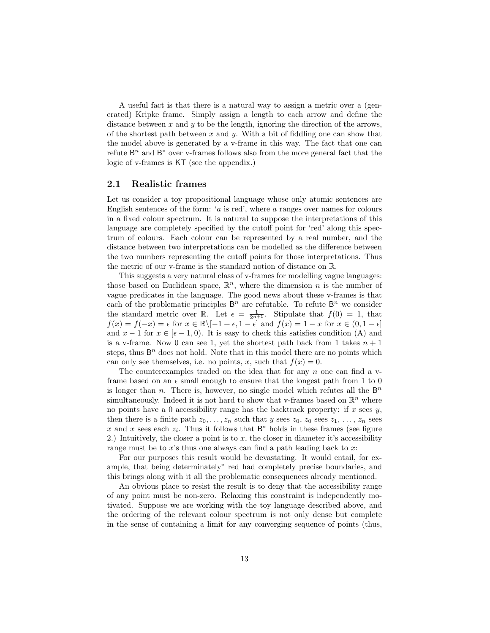A useful fact is that there is a natural way to assign a metric over a (generated) Kripke frame. Simply assign a length to each arrow and define the distance between x and y to be the length, ignoring the direction of the arrows, of the shortest path between x and y. With a bit of fiddling one can show that the model above is generated by a v-frame in this way. The fact that one can refute  $B<sup>n</sup>$  and  $B<sup>*</sup>$  over v-frames follows also from the more general fact that the logic of v-frames is KT (see the appendix.)

### 2.1 Realistic frames

Let us consider a toy propositional language whose only atomic sentences are English sentences of the form: 'a is red', where a ranges over names for colours in a fixed colour spectrum. It is natural to suppose the interpretations of this language are completely specified by the cutoff point for 'red' along this spectrum of colours. Each colour can be represented by a real number, and the distance between two interpretations can be modelled as the difference between the two numbers representing the cutoff points for those interpretations. Thus the metric of our v-frame is the standard notion of distance on R.

This suggests a very natural class of v-frames for modelling vague languages: those based on Euclidean space,  $\mathbb{R}^n$ , where the dimension n is the number of vague predicates in the language. The good news about these v-frames is that each of the problematic principles  $\mathsf{B}^n$  are refutable. To refute  $\mathsf{B}^n$  we consider the standard metric over R. Let  $\epsilon = \frac{1}{2^{n+1}}$ . Stipulate that  $f(0) = 1$ , that  $f(x) = f(-x) = \epsilon$  for  $x \in \mathbb{R} \setminus [-1 + \epsilon, 1 - \epsilon]$  and  $f(x) = 1 - x$  for  $x \in (0, 1 - \epsilon]$ and  $x - 1$  for  $x \in [\epsilon - 1, 0]$ . It is easy to check this satisfies condition (A) and is a v-frame. Now 0 can see 1, yet the shortest path back from 1 takes  $n + 1$ steps, thus  $B<sup>n</sup>$  does not hold. Note that in this model there are no points which can only see themselves, i.e. no points, x, such that  $f(x) = 0$ .

The counterexamples traded on the idea that for any  $n$  one can find a vframe based on an  $\epsilon$  small enough to ensure that the longest path from 1 to 0 is longer than *n*. There is, however, no single model which refutes all the  $B<sup>n</sup>$ simultaneously. Indeed it is not hard to show that v-frames based on  $\mathbb{R}^n$  where no points have a 0 accessibility range has the backtrack property: if  $x$  sees  $y$ , then there is a finite path  $z_0, \ldots, z_n$  such that y sees  $z_0, z_0$  sees  $z_1, \ldots, z_n$  sees x and x sees each  $z_i$ . Thus it follows that  $\mathsf{B}^*$  holds in these frames (see figure 2.) Intuitively, the closer a point is to  $x$ , the closer in diameter it's accessibility range must be to  $x$ 's thus one always can find a path leading back to  $x$ :

For our purposes this result would be devastating. It would entail, for example, that being determinately<sup>∗</sup> red had completely precise boundaries, and this brings along with it all the problematic consequences already mentioned.

An obvious place to resist the result is to deny that the accessibility range of any point must be non-zero. Relaxing this constraint is independently motivated. Suppose we are working with the toy language described above, and the ordering of the relevant colour spectrum is not only dense but complete in the sense of containing a limit for any converging sequence of points (thus,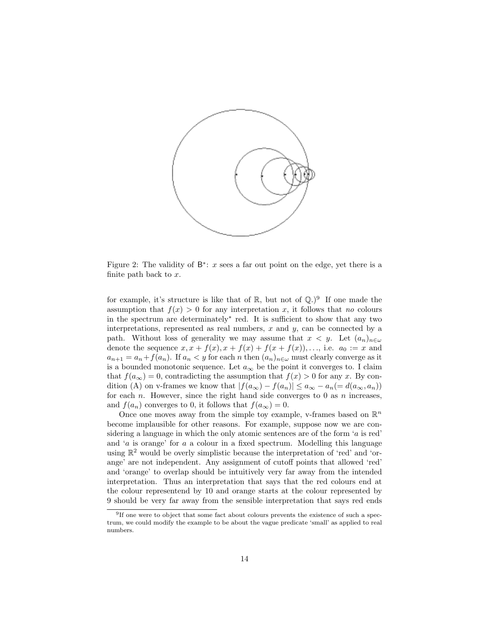

Figure 2: The validity of  $B^*$ : x sees a far out point on the edge, yet there is a finite path back to  $x$ .

for example, it's structure is like that of  $\mathbb{R}$ , but not of  $\mathbb{Q}$ .)<sup>9</sup> If one made the assumption that  $f(x) > 0$  for any interpretation x, it follows that no colours in the spectrum are determinately<sup>∗</sup> red. It is sufficient to show that any two interpretations, represented as real numbers,  $x$  and  $y$ , can be connected by a path. Without loss of generality we may assume that  $x < y$ . Let  $(a_n)_{n \in \omega}$ denote the sequence  $x, x + f(x), x + f(x) + f(x + f(x)), \dots$ , i.e.  $a_0 := x$  and  $a_{n+1} = a_n + f(a_n)$ . If  $a_n < y$  for each n then  $(a_n)_{n \in \omega}$  must clearly converge as it is a bounded monotonic sequence. Let  $a_{\infty}$  be the point it converges to. I claim that  $f(a_{\infty}) = 0$ , contradicting the assumption that  $f(x) > 0$  for any x. By condition (A) on v-frames we know that  $|f(a_{\infty}) - f(a_n)| \le a_{\infty} - a_n (= d(a_{\infty}, a_n))$ for each  $n$ . However, since the right hand side converges to  $0$  as  $n$  increases, and  $f(a_n)$  converges to 0, it follows that  $f(a_\infty) = 0$ .

Once one moves away from the simple toy example, v-frames based on  $\mathbb{R}^n$ become implausible for other reasons. For example, suppose now we are considering a language in which the only atomic sentences are of the form 'a is red' and 'a is orange' for a a colour in a fixed spectrum. Modelling this language using  $\mathbb{R}^2$  would be overly simplistic because the interpretation of 'red' and 'orange' are not independent. Any assignment of cutoff points that allowed 'red' and 'orange' to overlap should be intuitively very far away from the intended interpretation. Thus an interpretation that says that the red colours end at the colour representend by 10 and orange starts at the colour represented by 9 should be very far away from the sensible interpretation that says red ends

<sup>&</sup>lt;sup>9</sup>If one were to object that some fact about colours prevents the existence of such a spectrum, we could modify the example to be about the vague predicate 'small' as applied to real numbers.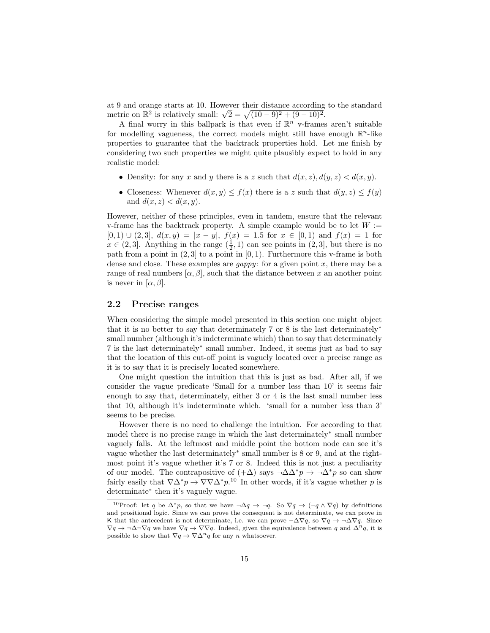at 9 and orange starts at 10. However their distance according to the standard at 9 and orange starts at 10. However their distance according<br>metric on  $\mathbb{R}^2$  is relatively small:  $\sqrt{2} = \sqrt{(10-9)^2 + (9-10)^2}$ .

A final worry in this ballpark is that even if  $\mathbb{R}^n$  v-frames aren't suitable for modelling vagueness, the correct models might still have enough  $\mathbb{R}^n$ -like properties to guarantee that the backtrack properties hold. Let me finish by considering two such properties we might quite plausibly expect to hold in any realistic model:

- Density: for any x and y there is a z such that  $d(x, z)$ ,  $d(y, z) < d(x, y)$ .
- Closeness: Whenever  $d(x, y) \leq f(x)$  there is a z such that  $d(y, z) \leq f(y)$ and  $d(x, z) < d(x, y)$ .

However, neither of these principles, even in tandem, ensure that the relevant v-frame has the backtrack property. A simple example would be to let  $W :=$  $[0, 1) \cup (2, 3], d(x, y) = |x - y|, f(x) = 1.5$  for  $x \in [0, 1)$  and  $f(x) = 1$  for  $x \in (2,3]$ . Anything in the range  $(\frac{1}{2},1)$  can see points in  $(2,3]$ , but there is no path from a point in  $(2, 3]$  to a point in  $[0, 1)$ . Furthermore this v-frame is both dense and close. These examples are *gappy*: for a given point  $x$ , there may be a range of real numbers  $[\alpha, \beta]$ , such that the distance between x an another point is never in  $[\alpha, \beta]$ .

### 2.2 Precise ranges

When considering the simple model presented in this section one might object that it is no better to say that determinately 7 or 8 is the last determinately<sup>∗</sup> small number (although it's indeterminate which) than to say that determinately 7 is the last determinately<sup>∗</sup> small number. Indeed, it seems just as bad to say that the location of this cut-off point is vaguely located over a precise range as it is to say that it is precisely located somewhere.

One might question the intuition that this is just as bad. After all, if we consider the vague predicate 'Small for a number less than 10' it seems fair enough to say that, determinately, either 3 or 4 is the last small number less that 10, although it's indeterminate which. 'small for a number less than 3' seems to be precise.

However there is no need to challenge the intuition. For according to that model there is no precise range in which the last determinately<sup>∗</sup> small number vaguely falls. At the leftmost and middle point the bottom node can see it's vague whether the last determinately<sup>∗</sup> small number is 8 or 9, and at the rightmost point it's vague whether it's 7 or 8. Indeed this is not just a peculiarity of our model. The contrapositive of  $(+\Delta)$  says  $\neg \Delta \Delta^* p \rightarrow \neg \Delta^* p$  so can show fairly easily that  $\nabla \Delta^* p \to \nabla \nabla \Delta^* p$ .<sup>10</sup> In other words, if it's vague whether p is determinate<sup>∗</sup> then it's vaguely vague.

<sup>&</sup>lt;sup>10</sup>Proof: let q be  $\Delta^* p$ , so that we have  $\neg \Delta q \rightarrow \neg q$ . So  $\nabla q \rightarrow (\neg q \wedge \nabla q)$  by definitions and prositional logic. Since we can prove the consequent is not determinate, we can prove in K that the antecedent is not determinate, i.e. we can prove  $\neg \Delta \nabla q$ , so  $\nabla q \to \neg \Delta \nabla q$ . Since  $\nabla q \to \neg \Delta \neg \nabla q$  we have  $\nabla q \to \nabla \nabla q$ . Indeed, given the equivalence between q and  $\Delta^n q$ , it is possible to show that  $\nabla q \to \nabla \Delta^n q$  for any *n* whatsoever.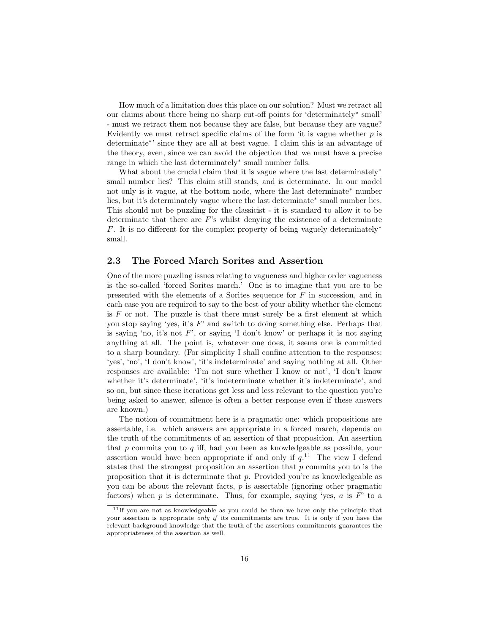How much of a limitation does this place on our solution? Must we retract all our claims about there being no sharp cut-off points for 'determinately<sup>∗</sup> small' - must we retract them not because they are false, but because they are vague? Evidently we must retract specific claims of the form 'it is vague whether  $p$  is determinate<sup>∗</sup> ' since they are all at best vague. I claim this is an advantage of the theory, even, since we can avoid the objection that we must have a precise range in which the last determinately<sup>∗</sup> small number falls.

What about the crucial claim that it is vague where the last determinately<sup>∗</sup> small number lies? This claim still stands, and is determinate. In our model not only is it vague, at the bottom node, where the last determinate<sup>∗</sup> number lies, but it's determinately vague where the last determinate<sup>∗</sup> small number lies. This should not be puzzling for the classicist - it is standard to allow it to be determinate that there are  $F$ 's whilst denying the existence of a determinate F. It is no different for the complex property of being vaguely determinately<sup>\*</sup> small.

### 2.3 The Forced March Sorites and Assertion

One of the more puzzling issues relating to vagueness and higher order vagueness is the so-called 'forced Sorites march.' One is to imagine that you are to be presented with the elements of a Sorites sequence for F in succession, and in each case you are required to say to the best of your ability whether the element is  $F$  or not. The puzzle is that there must surely be a first element at which you stop saying 'yes, it's  $F'$  and switch to doing something else. Perhaps that is saying 'no, it's not  $F'$ , or saying 'I don't know' or perhaps it is not saying anything at all. The point is, whatever one does, it seems one is committed to a sharp boundary. (For simplicity I shall confine attention to the responses: 'yes', 'no', 'I don't know', 'it's indeterminate' and saying nothing at all. Other responses are available: 'I'm not sure whether I know or not', 'I don't know whether it's determinate', 'it's indeterminate whether it's indeterminate', and so on, but since these iterations get less and less relevant to the question you're being asked to answer, silence is often a better response even if these answers are known.)

The notion of commitment here is a pragmatic one: which propositions are assertable, i.e. which answers are appropriate in a forced march, depends on the truth of the commitments of an assertion of that proposition. An assertion that  $p$  commits you to  $q$  iff, had you been as knowledgeable as possible, your assertion would have been appropriate if and only if  $q<sup>11</sup>$ . The view I defend states that the strongest proposition an assertion that  $p$  commits you to is the proposition that it is determinate that  $p$ . Provided you're as knowledgeable as you can be about the relevant facts,  $p$  is assertable (ignoring other pragmatic factors) when p is determinate. Thus, for example, saying 'yes, a is  $F'$  to a

 $11$ If you are not as knowledgeable as you could be then we have only the principle that your assertion is appropriate *only if* its commitments are true. It is only if you have the relevant background knowledge that the truth of the assertions commitments guarantees the appropriateness of the assertion as well.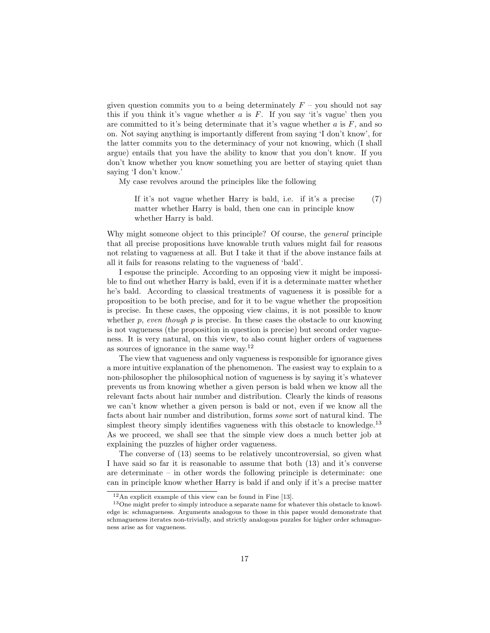given question commits you to a being determinately  $F$  – you should not say this if you think it's vague whether  $a$  is  $F$ . If you say 'it's vague' then you are committed to it's being determinate that it's vague whether  $a$  is  $F$ , and so on. Not saying anything is importantly different from saying 'I don't know', for the latter commits you to the determinacy of your not knowing, which (I shall argue) entails that you have the ability to know that you don't know. If you don't know whether you know something you are better of staying quiet than saying 'I don't know.'

My case revolves around the principles like the following

If it's not vague whether Harry is bald, i.e. if it's a precise matter whether Harry is bald, then one can in principle know whether Harry is bald. (7)

Why might someone object to this principle? Of course, the *general* principle that all precise propositions have knowable truth values might fail for reasons not relating to vagueness at all. But I take it that if the above instance fails at all it fails for reasons relating to the vagueness of 'bald'.

I espouse the principle. According to an opposing view it might be impossible to find out whether Harry is bald, even if it is a determinate matter whether he's bald. According to classical treatments of vagueness it is possible for a proposition to be both precise, and for it to be vague whether the proposition is precise. In these cases, the opposing view claims, it is not possible to know whether  $p$ , even though  $p$  is precise. In these cases the obstacle to our knowing is not vagueness (the proposition in question is precise) but second order vagueness. It is very natural, on this view, to also count higher orders of vagueness as sources of ignorance in the same way.<sup>12</sup>

The view that vagueness and only vagueness is responsible for ignorance gives a more intuitive explanation of the phenomenon. The easiest way to explain to a non-philosopher the philosophical notion of vagueness is by saying it's whatever prevents us from knowing whether a given person is bald when we know all the relevant facts about hair number and distribution. Clearly the kinds of reasons we can't know whether a given person is bald or not, even if we know all the facts about hair number and distribution, forms some sort of natural kind. The simplest theory simply identifies vagueness with this obstacle to knowledge.<sup>13</sup> As we proceed, we shall see that the simple view does a much better job at explaining the puzzles of higher order vagueness.

The converse of (13) seems to be relatively uncontroversial, so given what I have said so far it is reasonable to assume that both (13) and it's converse are determinate – in other words the following principle is determinate: one can in principle know whether Harry is bald if and only if it's a precise matter

<sup>12</sup>An explicit example of this view can be found in Fine [13].

<sup>&</sup>lt;sup>13</sup>One might prefer to simply introduce a separate name for whatever this obstacle to knowledge is: schmagueness. Arguments analogous to those in this paper would demonstrate that schmagueness iterates non-trivially, and strictly analogous puzzles for higher order schmagueness arise as for vagueness.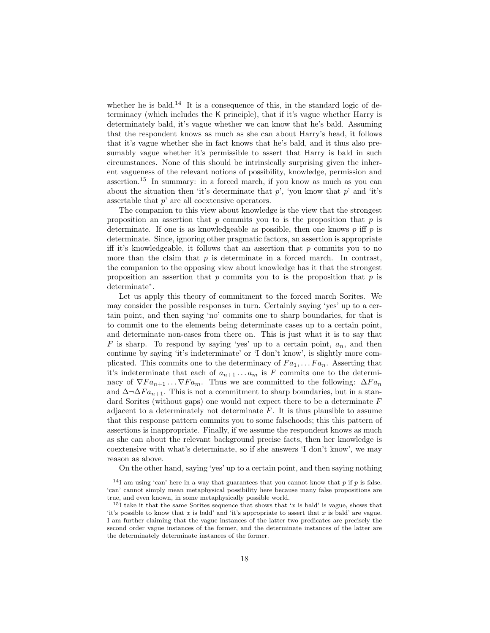whether he is bald.<sup>14</sup> It is a consequence of this, in the standard logic of determinacy (which includes the K principle), that if it's vague whether Harry is determinately bald, it's vague whether we can know that he's bald. Assuming that the respondent knows as much as she can about Harry's head, it follows that it's vague whether she in fact knows that he's bald, and it thus also presumably vague whether it's permissible to assert that Harry is bald in such circumstances. None of this should be intrinsically surprising given the inherent vagueness of the relevant notions of possibility, knowledge, permission and assertion.<sup>15</sup> In summary: in a forced march, if you know as much as you can about the situation then 'it's determinate that  $p'$ , 'you know that  $p'$  and 'it's assertable that  $p'$  are all coextensive operators.

The companion to this view about knowledge is the view that the strongest proposition an assertion that  $p$  commits you to is the proposition that  $p$  is determinate. If one is as knowledgeable as possible, then one knows  $p$  iff  $p$  is determinate. Since, ignoring other pragmatic factors, an assertion is appropriate iff it's knowledgeable, it follows that an assertion that  $p$  commits you to no more than the claim that  $p$  is determinate in a forced march. In contrast, the companion to the opposing view about knowledge has it that the strongest proposition an assertion that  $p$  commits you to is the proposition that  $p$  is determinate<sup>∗</sup> .

Let us apply this theory of commitment to the forced march Sorites. We may consider the possible responses in turn. Certainly saying 'yes' up to a certain point, and then saying 'no' commits one to sharp boundaries, for that is to commit one to the elements being determinate cases up to a certain point, and determinate non-cases from there on. This is just what it is to say that F is sharp. To respond by saying 'yes' up to a certain point,  $a_n$ , and then continue by saying 'it's indeterminate' or 'I don't know', is slightly more complicated. This commits one to the determinacy of  $Fa_1, \ldots Fa_n$ . Asserting that it's indeterminate that each of  $a_{n+1} \ldots a_m$  is F commits one to the determinacy of  $\nabla Fa_{n+1} \dots \nabla Fa_m$ . Thus we are committed to the following:  $\Delta Fa_n$ and  $\Delta \neg \Delta Fa_{n+1}$ . This is not a commitment to sharp boundaries, but in a standard Sorites (without gaps) one would not expect there to be a determinate F adjacent to a determinately not determinate  $F$ . It is thus plausible to assume that this response pattern commits you to some falsehoods; this this pattern of assertions is inappropriate. Finally, if we assume the respondent knows as much as she can about the relevant background precise facts, then her knowledge is coextensive with what's determinate, so if she answers 'I don't know', we may reason as above.

On the other hand, saying 'yes' up to a certain point, and then saying nothing

 $14$ I am using 'can' here in a way that guarantees that you cannot know that p if p is false. 'can' cannot simply mean metaphysical possibility here because many false propositions are true, and even known, in some metaphysically possible world.

 $15I$  take it that the same Sorites sequence that shows that 'x is bald' is vague, shows that 'it's possible to know that x is bald' and 'it's appropriate to assert that x is bald' are vague. I am further claiming that the vague instances of the latter two predicates are precisely the second order vague instances of the former, and the determinate instances of the latter are the determinately determinate instances of the former.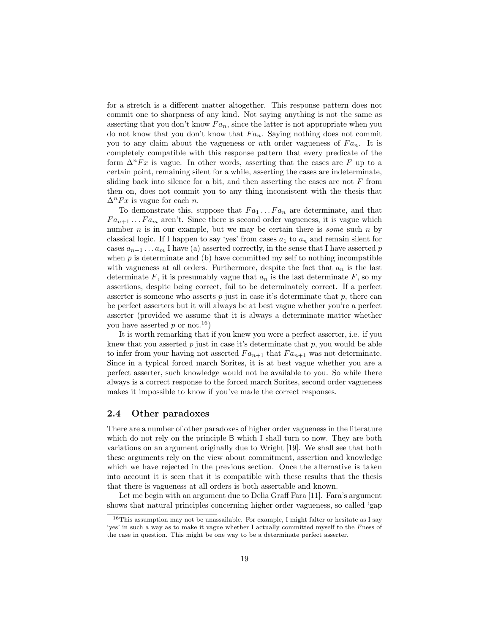for a stretch is a different matter altogether. This response pattern does not commit one to sharpness of any kind. Not saying anything is not the same as asserting that you don't know  $Fa_n$ , since the latter is not appropriate when you do not know that you don't know that  $Fa_n$ . Saying nothing does not commit you to any claim about the vagueness or nth order vagueness of  $Fa_n$ . It is completely compatible with this response pattern that every predicate of the form  $\Delta^n F x$  is vague. In other words, asserting that the cases are F up to a certain point, remaining silent for a while, asserting the cases are indeterminate, sliding back into silence for a bit, and then asserting the cases are not  $F$  from then on, does not commit you to any thing inconsistent with the thesis that  $\Delta^n F x$  is vague for each *n*.

To demonstrate this, suppose that  $Fa_1 \ldots Fa_n$  are determinate, and that  $Fa_{n+1} \ldots Fa_m$  aren't. Since there is second order vagueness, it is vague which number  $n$  is in our example, but we may be certain there is *some* such  $n$  by classical logic. If I happen to say 'yes' from cases  $a_1$  to  $a_n$  and remain silent for cases  $a_{n+1} \ldots a_m$  I have (a) asserted correctly, in the sense that I have asserted p when  $p$  is determinate and (b) have committed my self to nothing incompatible with vagueness at all orders. Furthermore, despite the fact that  $a_n$  is the last determinate  $F$ , it is presumably vague that  $a_n$  is the last determinate  $F$ , so my assertions, despite being correct, fail to be determinately correct. If a perfect asserter is someone who asserts  $p$  just in case it's determinate that  $p$ , there can be perfect asserters but it will always be at best vague whether you're a perfect asserter (provided we assume that it is always a determinate matter whether you have asserted p or not.<sup>16</sup>)

It is worth remarking that if you knew you were a perfect asserter, i.e. if you knew that you asserted  $p$  just in case it's determinate that  $p$ , you would be able to infer from your having not asserted  $Fa_{n+1}$  that  $Fa_{n+1}$  was not determinate. Since in a typical forced march Sorites, it is at best vague whether you are a perfect asserter, such knowledge would not be available to you. So while there always is a correct response to the forced march Sorites, second order vagueness makes it impossible to know if you've made the correct responses.

### 2.4 Other paradoxes

There are a number of other paradoxes of higher order vagueness in the literature which do not rely on the principle B which I shall turn to now. They are both variations on an argument originally due to Wright [19]. We shall see that both these arguments rely on the view about commitment, assertion and knowledge which we have rejected in the previous section. Once the alternative is taken into account it is seen that it is compatible with these results that the thesis that there is vagueness at all orders is both assertable and known.

Let me begin with an argument due to Delia Graff Fara [11]. Fara's argument shows that natural principles concerning higher order vagueness, so called 'gap

 $^{16}\mathrm{This}$  assumption may not be unassailable. For example, I might falter or hesitate as I say 'yes' in such a way as to make it vague whether I actually committed myself to the Fness of the case in question. This might be one way to be a determinate perfect asserter.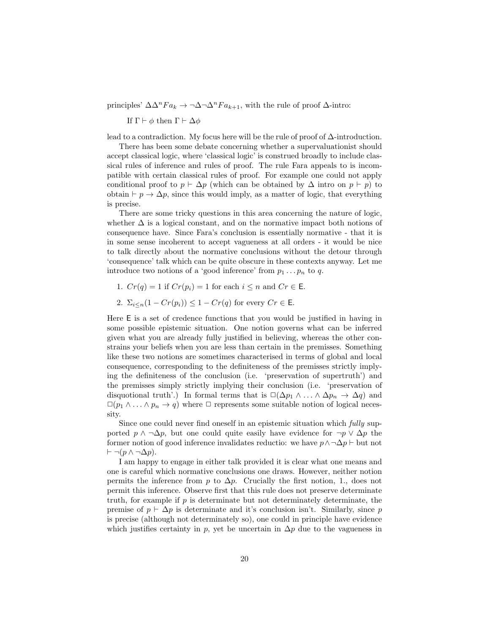principles'  $\Delta \Delta^n Fa_k \to \neg \Delta \neg \Delta^n Fa_{k+1}$ , with the rule of proof  $\Delta$ -intro:

If Γ  $\vdash$  φ then Γ  $\vdash$  Δ $\phi$ 

lead to a contradiction. My focus here will be the rule of proof of ∆-introduction.

There has been some debate concerning whether a supervaluationist should accept classical logic, where 'classical logic' is construed broadly to include classical rules of inference and rules of proof. The rule Fara appeals to is incompatible with certain classical rules of proof. For example one could not apply conditional proof to  $p \vdash \Delta p$  (which can be obtained by  $\Delta$  intro on  $p \vdash p$ ) to obtain  $\vdash p \rightarrow \Delta p$ , since this would imply, as a matter of logic, that everything is precise.

There are some tricky questions in this area concerning the nature of logic, whether  $\Delta$  is a logical constant, and on the normative impact both notions of consequence have. Since Fara's conclusion is essentially normative - that it is in some sense incoherent to accept vagueness at all orders - it would be nice to talk directly about the normative conclusions without the detour through 'consequence' talk which can be quite obscure in these contexts anyway. Let me introduce two notions of a 'good inference' from  $p_1 \ldots p_n$  to q.

1.  $Cr(q) = 1$  if  $Cr(p_i) = 1$  for each  $i \leq n$  and  $Cr \in E$ .

2. 
$$
\Sigma_{i\leq n}(1 - Cr(p_i)) \leq 1 - Cr(q)
$$
 for every  $Cr \in \mathsf{E}$ .

Here E is a set of credence functions that you would be justified in having in some possible epistemic situation. One notion governs what can be inferred given what you are already fully justified in believing, whereas the other constrains your beliefs when you are less than certain in the premisses. Something like these two notions are sometimes characterised in terms of global and local consequence, corresponding to the definiteness of the premisses strictly implying the definiteness of the conclusion (i.e. 'preservation of supertruth') and the premisses simply strictly implying their conclusion (i.e. 'preservation of disquotional truth'.) In formal terms that is  $\Box(\Delta p_1 \land ... \land \Delta p_n \rightarrow \Delta q)$  and  $\Box(p_1 \land \ldots \land p_n \to q)$  where  $\Box$  represents some suitable notion of logical necessity.

Since one could never find oneself in an epistemic situation which fully supported  $p \wedge \neg \Delta p$ , but one could quite easily have evidence for  $\neg p \vee \Delta p$  the former notion of good inference invalidates reductio: we have  $p \wedge \neg \Delta p \vdash$  but not  $\vdash \neg (p \land \neg \Delta p).$ 

I am happy to engage in either talk provided it is clear what one means and one is careful which normative conclusions one draws. However, neither notion permits the inference from p to  $\Delta p$ . Crucially the first notion, 1., does not permit this inference. Observe first that this rule does not preserve determinate truth, for example if  $p$  is determinate but not determinately determinate, the premise of  $p \vdash \Delta p$  is determinate and it's conclusion isn't. Similarly, since p is precise (although not determinately so), one could in principle have evidence which justifies certainty in p, yet be uncertain in  $\Delta p$  due to the vagueness in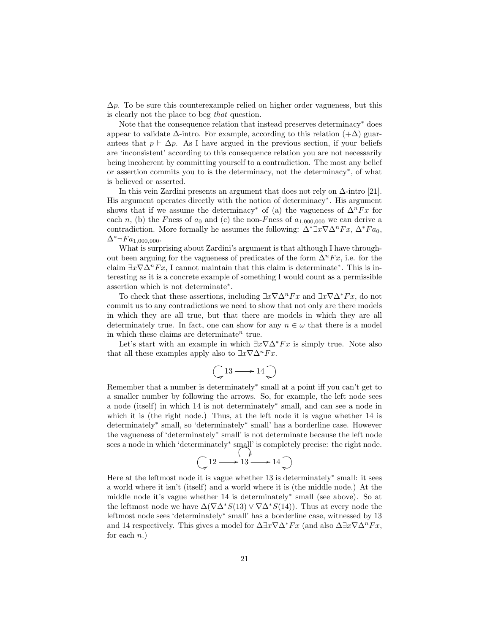$\Delta p$ . To be sure this counterexample relied on higher order vagueness, but this is clearly not the place to beg that question.

Note that the consequence relation that instead preserves determinacy<sup>∗</sup> does appear to validate  $\Delta$ -intro. For example, according to this relation  $(+\Delta)$  guarantees that  $p \vdash \Delta p$ . As I have argued in the previous section, if your beliefs are 'inconsistent' according to this consequence relation you are not necessarily being incoherent by committing yourself to a contradiction. The most any belief or assertion commits you to is the determinacy, not the determinacy<sup>∗</sup> , of what is believed or asserted.

In this vein Zardini presents an argument that does not rely on  $\Delta$ -intro [21]. His argument operates directly with the notion of determinacy<sup>∗</sup> . His argument shows that if we assume the determinacy<sup>∗</sup> of (a) the vagueness of  $\Delta^n F x$  for each n, (b) the Fness of  $a_0$  and (c) the non-Fness of  $a_{1,000,000}$  we can derive a contradiction. More formally he assumes the following:  $\Delta^* \exists x \nabla \Delta^n F x$ ,  $\Delta^* F a_0$ ,  $\Delta^* \neg Fa_{1,000,000}.$ 

What is surprising about Zardini's argument is that although I have throughout been arguing for the vagueness of predicates of the form  $\Delta^n F x$ , i.e. for the claim  $\exists x \nabla \Delta^n F x$ , I cannot maintain that this claim is determinate<sup>\*</sup>. This is interesting as it is a concrete example of something I would count as a permissible assertion which is not determinate<sup>∗</sup> .

To check that these assertions, including  $\exists x \nabla \Delta^n F x$  and  $\exists x \nabla \Delta^* F x$ , do not commit us to any contradictions we need to show that not only are there models in which they are all true, but that there are models in which they are all determinately true. In fact, one can show for any  $n \in \omega$  that there is a model in which these claims are determinate<sup>n</sup> true.

Let's start with an example in which  $\exists x \nabla \Delta^* F x$  is simply true. Note also that all these examples apply also to  $\exists x \nabla \Delta^n F x$ .

$$
\bigcirc 13 \longrightarrow 14 \bigcirc
$$

Remember that a number is determinately<sup>∗</sup> small at a point iff you can't get to a smaller number by following the arrows. So, for example, the left node sees a node (itself) in which 14 is not determinately<sup>∗</sup> small, and can see a node in which it is (the right node.) Thus, at the left node it is vague whether 14 is determinately<sup>∗</sup> small, so 'determinately<sup>∗</sup> small' has a borderline case. However the vagueness of 'determinately<sup>∗</sup> small' is not determinate because the left node sees a node in which 'determinately<sup>\*</sup> small' is completely precise: the right node.

$$
\bigcirc 12 \longrightarrow 13 \longrightarrow 14 \bigcirc
$$

Here at the leftmost node it is vague whether 13 is determinately<sup>∗</sup> small: it sees a world where it isn't (itself) and a world where it is (the middle node.) At the middle node it's vague whether 14 is determinately<sup>∗</sup> small (see above). So at the leftmost node we have  $\Delta(\nabla \Delta^* S(13) \vee \nabla \Delta^* S(14))$ . Thus at every node the leftmost node sees 'determinately<sup>∗</sup> small' has a borderline case, witnessed by 13 and 14 respectively. This gives a model for  $\Delta \exists x \nabla \Delta^* F x$  (and also  $\Delta \exists x \nabla \Delta^n F x$ , for each  $n.$ )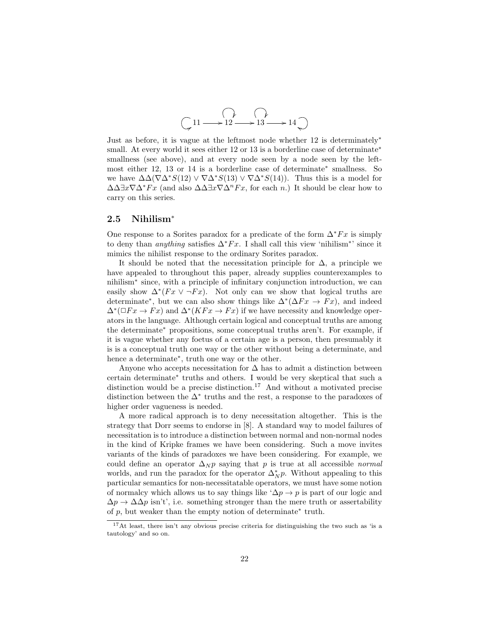

Just as before, it is vague at the leftmost node whether 12 is determinately<sup>∗</sup> small. At every world it sees either 12 or 13 is a borderline case of determinate<sup>\*</sup> smallness (see above), and at every node seen by a node seen by the leftmost either 12, 13 or 14 is a borderline case of determinate<sup>∗</sup> smallness. So we have  $\Delta\Delta(\nabla\Delta^*S(12) \vee \nabla\Delta^*S(13) \vee \nabla\Delta^*S(14)).$  Thus this is a model for  $\Delta \Delta \exists x \nabla \Delta^* F x$  (and also  $\Delta \Delta \exists x \nabla \Delta^n F x$ , for each n.) It should be clear how to carry on this series.

### 2.5 Nihilism<sup>∗</sup>

One response to a Sorites paradox for a predicate of the form  $\Delta^*Fx$  is simply to deny than *anything* satisfies  $\Delta^* F x$ . I shall call this view 'nihilism<sup>\*'</sup> since it mimics the nihilist response to the ordinary Sorites paradox.

It should be noted that the necessitation principle for  $\Delta$ , a principle we have appealed to throughout this paper, already supplies counterexamples to nihilism<sup>∗</sup> since, with a principle of infinitary conjunction introduction, we can easily show  $\Delta^*(Fx \vee \neg Fx)$ . Not only can we show that logical truths are determinate<sup>\*</sup>, but we can also show things like  $\Delta^*(\Delta F x \to F x)$ , and indeed  $\Delta^*(\Box F x \to F x)$  and  $\Delta^*(K F x \to F x)$  if we have necessity and knowledge operators in the language. Although certain logical and conceptual truths are among the determinate<sup>∗</sup> propositions, some conceptual truths aren't. For example, if it is vague whether any foetus of a certain age is a person, then presumably it is is a conceptual truth one way or the other without being a determinate, and hence a determinate<sup>∗</sup> , truth one way or the other.

Anyone who accepts necessitation for  $\Delta$  has to admit a distinction between certain determinate<sup>∗</sup> truths and others. I would be very skeptical that such a distinction would be a precise distinction.<sup>17</sup> And without a motivated precise distinction between the  $\Delta^*$  truths and the rest, a response to the paradoxes of higher order vagueness is needed.

A more radical approach is to deny necessitation altogether. This is the strategy that Dorr seems to endorse in [8]. A standard way to model failures of necessitation is to introduce a distinction between normal and non-normal nodes in the kind of Kripke frames we have been considering. Such a move invites variants of the kinds of paradoxes we have been considering. For example, we could define an operator  $\Delta_N p$  saying that p is true at all accessible normal worlds, and run the paradox for the operator  $\Delta^*_{N} p$ . Without appealing to this particular semantics for non-necessitatable operators, we must have some notion of normalcy which allows us to say things like ' $\Delta p \rightarrow p$  is part of our logic and  $\Delta p \rightarrow \Delta \Delta p$  isn't', i.e. something stronger than the mere truth or assertability of  $p$ , but weaker than the empty notion of determinate\* truth.

<sup>&</sup>lt;sup>17</sup>At least, there isn't any obvious precise criteria for distinguishing the two such as 'is a tautology' and so on.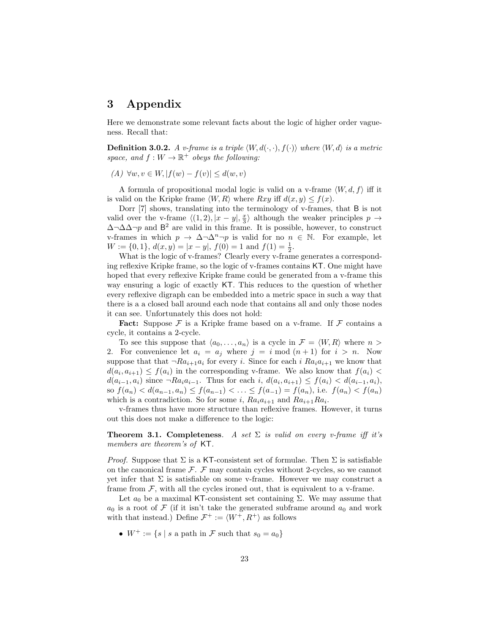## 3 Appendix

Here we demonstrate some relevant facts about the logic of higher order vagueness. Recall that:

**Definition 3.0.2.** A v-frame is a triple  $\langle W, d(\cdot, \cdot), f(\cdot) \rangle$  where  $\langle W, d \rangle$  is a metric space, and  $f: W \to \mathbb{R}^+$  obeys the following:

(A) ∀w,  $v \in W$ ,  $|f(w) - f(v)| \leq d(w, v)$ 

A formula of propositional modal logic is valid on a v-frame  $\langle W, d, f \rangle$  iff it is valid on the Kripke frame  $\langle W, R \rangle$  where  $Rxy$  iff  $d(x, y) \le f(x)$ .

Dorr [7] shows, translating into the terminology of v-frames, that B is not valid over the v-frame  $\langle (1, 2), |x - y|, \frac{x}{3} \rangle$  although the weaker principles  $p \rightarrow$  $\Delta \neg \Delta \Delta \neg p$  and B<sup>2</sup> are valid in this frame. It is possible, however, to construct v-frames in which  $p \to \Delta \neg \Delta^n \neg p$  is valid for no  $n \in \mathbb{N}$ . For example, let  $W := \{0, 1\}, d(x, y) = |x - y|, f(0) = 1 \text{ and } f(1) = \frac{1}{2}.$ 

What is the logic of v-frames? Clearly every v-frame generates a corresponding reflexive Kripke frame, so the logic of v-frames contains KT. One might have hoped that every reflexive Kripke frame could be generated from a v-frame this way ensuring a logic of exactly KT. This reduces to the question of whether every reflexive digraph can be embedded into a metric space in such a way that there is a a closed ball around each node that contains all and only those nodes it can see. Unfortunately this does not hold:

**Fact:** Suppose  $\mathcal F$  is a Kripke frame based on a v-frame. If  $\mathcal F$  contains a cycle, it contains a 2-cycle.

To see this suppose that  $\langle a_0, \ldots, a_n \rangle$  is a cycle in  $\mathcal{F} = \langle W, R \rangle$  where  $n >$ 2. For convenience let  $a_i = a_j$  where  $j = i \mod (n+1)$  for  $i > n$ . Now suppose that that  $\neg Ra_{i+1}a_i$  for every i. Since for each i  $Ra_i a_{i+1}$  we know that  $d(a_i, a_{i+1}) \le f(a_i)$  in the corresponding v-frame. We also know that  $f(a_i)$  $d(a_{i-1}, a_i)$  since  $\neg Ra_i a_{i-1}$ . Thus for each  $i, d(a_i, a_{i+1}) \le f(a_i) < d(a_{i-1}, a_i)$ , so  $f(a_n) < d(a_{n-1}, a_n) \le f(a_{n-1}) < \ldots \le f(a_{n-1}) = f(a_n)$ , i.e.  $f(a_n) < f(a_n)$ which is a contradiction. So for some i,  $Ra_i a_{i+1}$  and  $Ra_{i+1} Ra_i$ .

v-frames thus have more structure than reflexive frames. However, it turns out this does not make a difference to the logic:

**Theorem 3.1. Completeness**. A set  $\Sigma$  is valid on every v-frame iff it's members are theorem's of KT.

*Proof.* Suppose that  $\Sigma$  is a KT-consistent set of formulae. Then  $\Sigma$  is satisfiable on the canonical frame  $\mathcal{F}$ .  $\mathcal{F}$  may contain cycles without 2-cycles, so we cannot yet infer that  $\Sigma$  is satisfiable on some v-frame. However we may construct a frame from  $\mathcal{F}$ , with all the cycles ironed out, that is equivalent to a v-frame.

Let  $a_0$  be a maximal KT-consistent set containing Σ. We may assume that  $a_0$  is a root of F (if it isn't take the generated subframe around  $a_0$  and work with that instead.) Define  $\mathcal{F}^+ := \langle W^+, R^+ \rangle$  as follows

•  $W^+ := \{ s \mid s \text{ a path in } \mathcal{F} \text{ such that } s_0 = a_0 \}$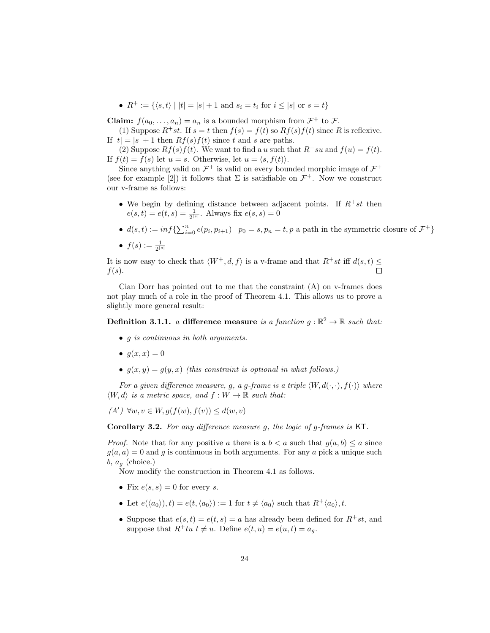•  $R^+ := \{ \langle s, t \rangle \mid |t| = |s| + 1 \text{ and } s_i = t_i \text{ for } i \leq |s| \text{ or } s = t \}$ 

**Claim:**  $f(a_0, \ldots, a_n) = a_n$  is a bounded morphism from  $\mathcal{F}^+$  to  $\mathcal{F}$ .

(1) Suppose  $R^+st$ . If  $s = t$  then  $f(s) = f(t)$  so  $Rf(s)f(t)$  since R is reflexive. If  $|t| = |s| + 1$  then  $Rf(s)f(t)$  since t and s are paths.

(2) Suppose  $Rf(s)f(t)$ . We want to find a u such that  $R^+su$  and  $f(u) = f(t)$ . If  $f(t) = f(s)$  let  $u = s$ . Otherwise, let  $u = \langle s, f(t) \rangle$ .

Since anything valid on  $\mathcal{F}^+$  is valid on every bounded morphic image of  $\mathcal{F}^+$ (see for example [2]) it follows that  $\Sigma$  is satisfiable on  $\mathcal{F}^+$ . Now we construct our v-frame as follows:

- We begin by defining distance between adjacent points. If  $R^+st$  then  $e(s,t) = e(t,s) = \frac{1}{2^{|s|}}$ . Always fix  $e(s,s) = 0$
- $d(s,t) := \inf \{ \sum_{i=0}^n e(p_i, p_{i+1}) \mid p_0 = s, p_n = t, p \text{ a path in the symmetric closure of } \mathcal{F}^+ \}$
- $\bullet$   $f(s):=\frac{1}{2^{\left\vert s\right\vert }}$

It is now easy to check that  $\langle W^+, d, f \rangle$  is a v-frame and that  $R^+st$  iff  $d(s, t) \leq$  $\Box$  $f(s)$ .

Cian Dorr has pointed out to me that the constraint  $(A)$  on v-frames does not play much of a role in the proof of Theorem 4.1. This allows us to prove a slightly more general result:

**Definition 3.1.1.** a difference measure is a function  $g : \mathbb{R}^2 \to \mathbb{R}$  such that:

- g is continuous in both arguments.
- $q(x, x) = 0$
- $g(x, y) = g(y, x)$  (this constraint is optional in what follows.)

For a given difference measure, g, a g-frame is a triple  $\langle W, d(\cdot, \cdot), f(\cdot) \rangle$  where  $\langle W, d \rangle$  is a metric space, and  $f : W \to \mathbb{R}$  such that:

 $(A') \forall w, v \in W, g(f(w), f(v)) \leq d(w, v)$ 

Corollary 3.2. For any difference measure g, the logic of g-frames is KT.

*Proof.* Note that for any positive a there is a  $b < a$  such that  $g(a, b) \leq a$  since  $g(a, a) = 0$  and g is continuous in both arguments. For any a pick a unique such  $b, a_q$  (choice.)

Now modify the construction in Theorem 4.1 as follows.

- Fix  $e(s, s) = 0$  for every s.
- Let  $e(\langle a_0 \rangle), t) = e(t, \langle a_0 \rangle) := 1$  for  $t \neq \langle a_0 \rangle$  such that  $R^+ \langle a_0 \rangle, t$ .
- Suppose that  $e(s,t) = e(t,s) = a$  has already been defined for  $R^+st$ , and suppose that  $R^+tu$   $t \neq u$ . Define  $e(t, u) = e(u, t) = a_q$ .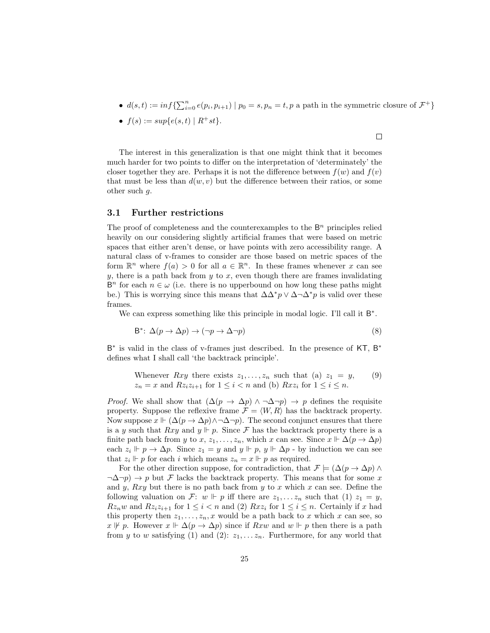•  $d(s,t) := \inf \{ \sum_{i=0}^n e(p_i, p_{i+1}) \mid p_0 = s, p_n = t, p \text{ a path in the symmetric closure of } \mathcal{F}^+ \}$ 

 $\Box$ 

•  $f(s) := sup\{e(s,t) | R^+st\}.$ 

The interest in this generalization is that one might think that it becomes much harder for two points to differ on the interpretation of 'determinately' the closer together they are. Perhaps it is not the difference between  $f(w)$  and  $f(v)$ that must be less than  $d(w, v)$  but the difference between their ratios, or some other such g.

#### 3.1 Further restrictions

The proof of completeness and the counterexamples to the  $\mathsf{B}^n$  principles relied heavily on our considering slightly artificial frames that were based on metric spaces that either aren't dense, or have points with zero accessibility range. A natural class of v-frames to consider are those based on metric spaces of the form  $\mathbb{R}^n$  where  $f(a) > 0$  for all  $a \in \mathbb{R}^n$ . In these frames whenever x can see  $y$ , there is a path back from  $y$  to  $x$ , even though there are frames invalidating  $B<sup>n</sup>$  for each  $n \in \omega$  (i.e. there is no upperbound on how long these paths might be.) This is worrying since this means that  $\Delta\Delta^* p \vee \Delta \neg \Delta^* p$  is valid over these frames.

We can express something like this principle in modal logic. I'll call it  $B^*$ .

$$
B^* \colon \Delta(p \to \Delta p) \to (\neg p \to \Delta \neg p) \tag{8}
$$

B<sup>\*</sup> is valid in the class of v-frames just described. In the presence of KT, B<sup>\*</sup> defines what I shall call 'the backtrack principle'.

Whenever *Rxy* there exists 
$$
z_1, ..., z_n
$$
 such that (a)  $z_1 = y$ , (9)  
 $z_n = x$  and  $Rz_iz_{i+1}$  for  $1 \le i < n$  and (b)  $Rxz_i$  for  $1 \le i \le n$ .

*Proof.* We shall show that  $(\Delta(p \to \Delta p) \land \neg \Delta \neg p) \to p$  defines the requisite property. Suppose the reflexive frame  $\mathcal{F} = \langle W, R \rangle$  has the backtrack property. Now suppose  $x \Vdash (\Delta(p \to \Delta p) \land \neg \Delta \neg p)$ . The second conjunct ensures that there is a y such that  $Rxy$  and  $y \Vdash p$ . Since F has the backtrack property there is a finite path back from y to x,  $z_1, \ldots, z_n$ , which x can see. Since  $x \Vdash \Delta(p \to \Delta p)$ each  $z_i \Vdash p \to \Delta p$ . Since  $z_1 = y$  and  $y \Vdash p$ ,  $y \Vdash \Delta p$  - by induction we can see that  $z_i \Vdash p$  for each i which means  $z_n = x \Vdash p$  as required.

For the other direction suppose, for contradiction, that  $\mathcal{F} \models (\Delta(p \to \Delta p) \land \Delta p)$  $\neg \Delta \neg p$   $\rightarrow p$  but F lacks the backtrack property. This means that for some x and y, Rxy but there is no path back from y to x which x can see. Define the following valuation on F: w  $\Vdash p$  iff there are  $z_1, \ldots z_n$  such that (1)  $z_1 = y$ ,  $Rz_nw$  and  $Rz_iz_{i+1}$  for  $1 \leq i \leq n$  and (2)  $Rxz_i$  for  $1 \leq i \leq n$ . Certainly if x had this property then  $z_1, \ldots, z_n, x$  would be a path back to x which x can see, so  $x \not\Vdash p$ . However  $x \Vdash \Delta(p \to \Delta p)$  since if  $Rxw$  and  $w \Vdash p$  then there is a path from y to w satisfying (1) and (2):  $z_1, \ldots z_n$ . Furthermore, for any world that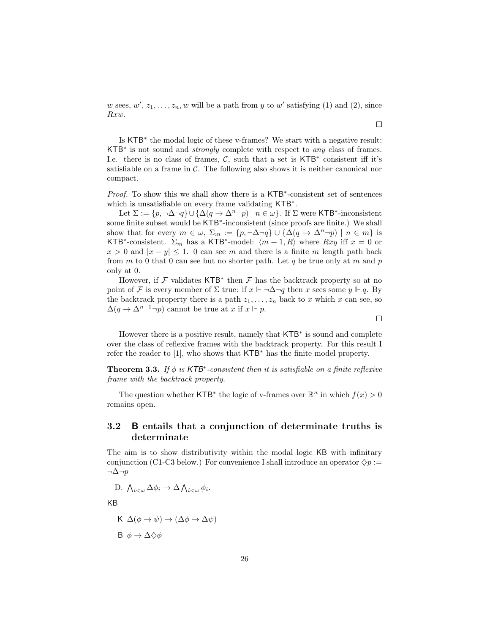w sees,  $w', z_1, \ldots, z_n, w$  will be a path from y to w' satisfying (1) and (2), since Rxw.

Is KTB<sup>∗</sup> the modal logic of these v-frames? We start with a negative result: KTB<sup>∗</sup> is not sound and *strongly* complete with respect to *any* class of frames. I.e. there is no class of frames,  $C$ , such that a set is KTB<sup>\*</sup> consistent iff it's satisfiable on a frame in  $\mathcal C$ . The following also shows it is neither canonical nor compact.

Proof. To show this we shall show there is a KTB<sup>\*</sup>-consistent set of sentences which is unsatisfiable on every frame validating KTB<sup>\*</sup>.

Let  $\Sigma := \{p, \neg \Delta \neg q\} \cup \{\Delta(q \to \Delta^n \neg p) \mid n \in \omega\}$ . If  $\Sigma$  were KTB<sup>\*</sup>-inconsistent some finite subset would be KTB<sup>\*</sup>-inconsistent (since proofs are finite.) We shall show that for every  $m \in \omega$ ,  $\Sigma_m := \{p, \neg \Delta \neg q\} \cup \{\Delta(q \to \Delta^n \neg p) \mid n \in m\}$  is KTB<sup>\*</sup>-consistent.  $\Sigma_m$  has a KTB<sup>\*</sup>-model:  $\langle m + 1, R \rangle$  where  $Rxy$  iff  $x = 0$  or  $x > 0$  and  $|x - y| \le 1$ . 0 can see m and there is a finite m length path back from m to 0 that 0 can see but no shorter path. Let q be true only at m and p only at 0.

However, if  $\mathcal F$  validates KTB<sup>\*</sup> then  $\mathcal F$  has the backtrack property so at no point of F is every member of  $\Sigma$  true: if  $x \Vdash \neg \Delta \neg q$  then x sees some  $y \Vdash q$ . By the backtrack property there is a path  $z_1, \ldots, z_n$  back to x which x can see, so  $\Delta(q \to \Delta^{n+1} \neg p)$  cannot be true at x if  $x \Vdash p$ .

However there is a positive result, namely that KTB<sup>∗</sup> is sound and complete over the class of reflexive frames with the backtrack property. For this result I refer the reader to [1], who shows that KTB<sup>∗</sup> has the finite model property.

**Theorem 3.3.** If  $\phi$  is KTB<sup>\*</sup>-consistent then it is satisfiable on a finite reflexive frame with the backtrack property.

The question whether KTB<sup>\*</sup> the logic of v-frames over  $\mathbb{R}^n$  in which  $f(x) > 0$ remains open.

### 3.2 B entails that a conjunction of determinate truths is determinate

The aim is to show distributivity within the modal logic KB with infinitary conjunction (C1-C3 below.) For convenience I shall introduce an operator  $\Diamond p :=$  $\neg \Delta \neg p$ 

D. 
$$
\bigwedge_{i<\omega}\Delta\phi_i\to\Delta\bigwedge_{i<\omega}\phi_i.
$$

KB

$$
\begin{aligned} \mathsf{K} \ \Delta(\phi \to \psi) &\to (\Delta\phi \to \Delta\psi) \\ \mathsf{B} \ \phi &\to \Delta\Diamond\phi \end{aligned}
$$

 $\Box$ 

 $\Box$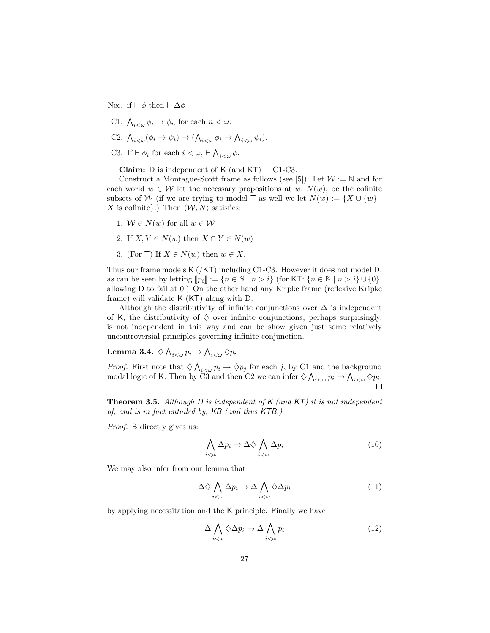Nec. if  $\vdash \phi$  then  $\vdash \Delta \phi$ 

C1.  $\bigwedge_{i<\omega}\phi_i\to\phi_n$  for each  $n<\omega$ .

C2. 
$$
\bigwedge_{i<\omega} (\phi_i \to \psi_i) \to (\bigwedge_{i<\omega} \phi_i \to \bigwedge_{i<\omega} \psi_i).
$$

C3. If  $\vdash \phi_i$  for each  $i < \omega, \vdash \bigwedge_{i < \omega} \phi$ .

**Claim:** D is independent of  $K$  (and  $KT$ ) + C1-C3.

Construct a Montague-Scott frame as follows (see [5]): Let  $\mathcal{W} := \mathbb{N}$  and for each world  $w \in \mathcal{W}$  let the necessary propositions at w,  $N(w)$ , be the cofinite subsets of W (if we are trying to model T as well we let  $N(w) := \{X \cup \{w\} \mid$ X is cofinite}.) Then  $\langle W, N \rangle$  satisfies:

- 1.  $W \in N(w)$  for all  $w \in W$
- 2. If  $X, Y \in N(w)$  then  $X \cap Y \in N(w)$
- 3. (For T) If  $X \in N(w)$  then  $w \in X$ .

Thus our frame models K (/KT) including C1-C3. However it does not model D, as can be seen by letting  $\llbracket p_i \rrbracket := \{n \in \mathbb{N} \mid n > i\}$  (for KT:  $\{n \in \mathbb{N} \mid n > i\} \cup \{0\}$ , allowing D to fail at 0.) On the other hand any Kripke frame (reflexive Kripke frame) will validate K (KT) along with D.

Although the distributivity of infinite conjunctions over  $\Delta$  is independent of K, the distributivity of  $\diamondsuit$  over infinite conjunctions, perhaps surprisingly, is not independent in this way and can be show given just some relatively uncontroversial principles governing infinite conjunction.

Lemma 3.4.  $\Diamond\bigwedge_{i<\omega}p_i\to \bigwedge_{i<\omega}\Diamond p_i$ 

*Proof.* First note that  $\Diamond \bigwedge_{i \in \omega} p_i \to \Diamond p_j$  for each j, by C1 and the background modal logic of K. Then by C3 and then C2 we can infer  $\Diamond \bigwedge_{i<\omega} p_i \to \bigwedge_{i<\omega} \Diamond p_i$ .

**Theorem 3.5.** Although D is independent of  $K$  (and  $KT$ ) it is not independent of, and is in fact entailed by, KB (and thus KTB.)

Proof. B directly gives us:

$$
\bigwedge_{i<\omega}\Delta p_i \to \Delta\Diamond \bigwedge_{i<\omega}\Delta p_i \tag{10}
$$

We may also infer from our lemma that

$$
\Delta \diamondsuit \bigwedge_{i < \omega} \Delta p_i \to \Delta \bigwedge_{i < \omega} \diamondsuit \Delta p_i \tag{11}
$$

by applying necessitation and the K principle. Finally we have

$$
\Delta \bigwedge_{i < \omega} \Diamond \Delta p_i \to \Delta \bigwedge_{i < \omega} p_i \tag{12}
$$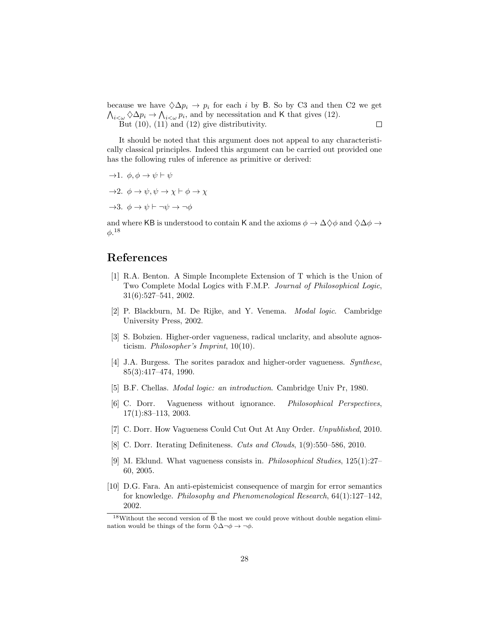because we have  $\Diamond \Delta p_i \to p_i$  for each i by B. So by C3 and then C2 we get  $\bigwedge_{i<\omega}\bigotimes\Delta p_i \to \bigwedge_{i<\omega}p_i$ , and by necessitation and K that gives (12). But  $(10)$ ,  $(11)$  and  $(12)$  give distributivity.  $\Box$ 

It should be noted that this argument does not appeal to any characteristically classical principles. Indeed this argument can be carried out provided one has the following rules of inference as primitive or derived:

$$
\begin{aligned}\n\rightarrow & 1. \ \ \phi, \phi \rightarrow \psi \vdash \psi \\
\rightarrow & 2. \ \ \phi \rightarrow \psi, \psi \rightarrow \chi \vdash \phi \rightarrow \chi \\
\rightarrow & 3. \ \ \phi \rightarrow \psi \vdash \neg \psi \rightarrow \neg \phi\n\end{aligned}
$$

and where KB is understood to contain K and the axioms  $\phi \to \Delta \diamondsuit \phi$  and  $\diamondsuit \Delta \phi \to$  $\phi. ^{18}$ 

## References

- [1] R.A. Benton. A Simple Incomplete Extension of T which is the Union of Two Complete Modal Logics with F.M.P. Journal of Philosophical Logic, 31(6):527–541, 2002.
- [2] P. Blackburn, M. De Rijke, and Y. Venema. Modal logic. Cambridge University Press, 2002.
- [3] S. Bobzien. Higher-order vagueness, radical unclarity, and absolute agnosticism. Philosopher's Imprint, 10(10).
- [4] J.A. Burgess. The sorites paradox and higher-order vagueness. Synthese, 85(3):417–474, 1990.
- [5] B.F. Chellas. Modal logic: an introduction. Cambridge Univ Pr, 1980.
- [6] C. Dorr. Vagueness without ignorance. Philosophical Perspectives, 17(1):83–113, 2003.
- [7] C. Dorr. How Vagueness Could Cut Out At Any Order. Unpublished, 2010.
- [8] C. Dorr. Iterating Definiteness. Cuts and Clouds, 1(9):550–586, 2010.
- [9] M. Eklund. What vagueness consists in. Philosophical Studies, 125(1):27– 60, 2005.
- [10] D.G. Fara. An anti-epistemicist consequence of margin for error semantics for knowledge. Philosophy and Phenomenological Research, 64(1):127–142, 2002.

 $18$ Without the second version of B the most we could prove without double negation elimination would be things of the form  $\Diamond \Delta \neg \phi \rightarrow \neg \phi$ .